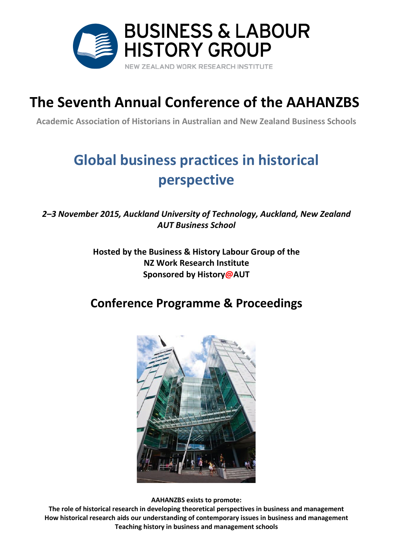

# **The Seventh Annual Conference of the AAHANZBS**

**Academic Association of Historians in Australian and New Zealand Business Schools**

# **Global business practices in historical perspective**

*2–3 November 2015, Auckland University of Technology, Auckland, New Zealand AUT Business School*

> **Hosted by the Business & History Labour Group of the NZ Work Research Institute Sponsored by History@AUT**

## **Conference Programme & Proceedings**



**AAHANZBS exists to promote:**

**The role of historical research in developing theoretical perspectives in business and management How historical research aids our understanding of contemporary issues in business and management Teaching history in business and management schools**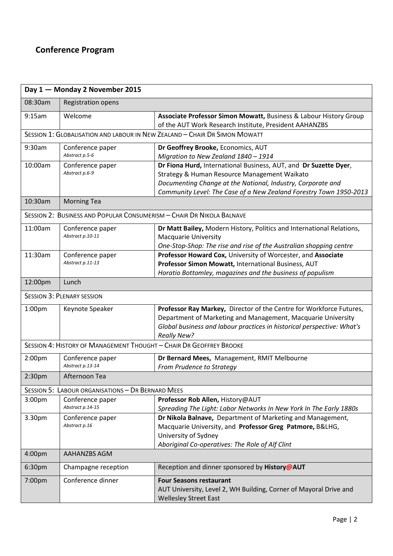## **Conference Program**

| Day 1 - Monday 2 November 2015                                             |                           |                                                                        |  |
|----------------------------------------------------------------------------|---------------------------|------------------------------------------------------------------------|--|
| 08:30am                                                                    | <b>Registration opens</b> |                                                                        |  |
| 9:15am                                                                     | Welcome                   | Associate Professor Simon Mowatt, Business & Labour History Group      |  |
|                                                                            |                           | of the AUT Work Research Institute, President AAHANZBS                 |  |
| SESSION 1: GLOBALISATION AND LABOUR IN NEW ZEALAND - CHAIR DR SIMON MOWATT |                           |                                                                        |  |
| 9:30am                                                                     | Conference paper          | Dr Geoffrey Brooke, Economics, AUT                                     |  |
|                                                                            | Abstract p.5-6            | Migration to New Zealand 1840 - 1914                                   |  |
| 10:00am                                                                    | Conference paper          | Dr Fiona Hurd, International Business, AUT, and Dr Suzette Dyer,       |  |
|                                                                            | Abstract p.6-9            | Strategy & Human Resource Management Waikato                           |  |
|                                                                            |                           | Documenting Change at the National, Industry, Corporate and            |  |
|                                                                            |                           | Community Level: The Case of a New Zealand Forestry Town 1950-2013     |  |
| 10:30am                                                                    | <b>Morning Tea</b>        |                                                                        |  |
| SESSION 2: BUSINESS AND POPULAR CONSUMERISM - CHAIR DR NIKOLA BALNAVE      |                           |                                                                        |  |
| 11:00am                                                                    | Conference paper          | Dr Matt Bailey, Modern History, Politics and International Relations,  |  |
|                                                                            | Abstract p.10-11          | <b>Macquarie University</b>                                            |  |
|                                                                            |                           | One-Stop-Shop: The rise and rise of the Australian shopping centre     |  |
| 11:30am                                                                    | Conference paper          | Professor Howard Cox, University of Worcester, and Associate           |  |
|                                                                            | Abstract p.11-13          | Professor Simon Mowatt, International Business, AUT                    |  |
|                                                                            |                           | Horatio Bottomley, magazines and the business of populism              |  |
| 12:00pm                                                                    | Lunch                     |                                                                        |  |
| <b>SESSION 3: PLENARY SESSION</b>                                          |                           |                                                                        |  |
| 1:00 <sub>pm</sub>                                                         | Keynote Speaker           | Professor Ray Markey, Director of the Centre for Workforce Futures,    |  |
|                                                                            |                           | Department of Marketing and Management, Macquarie University           |  |
|                                                                            |                           | Global business and labour practices in historical perspective: What's |  |
|                                                                            |                           | <b>Really New?</b>                                                     |  |
| SESSION 4: HISTORY OF MANAGEMENT THOUGHT - CHAIR DR GEOFFREY BROOKE        |                           |                                                                        |  |
| 2:00 <sub>pm</sub>                                                         | Conference paper          | Dr Bernard Mees, Management, RMIT Melbourne                            |  |
|                                                                            | Abstract p.13-14          | From Prudence to Strategy                                              |  |
| 2:30 <sub>pm</sub>                                                         | Afternoon Tea             |                                                                        |  |
| <b>SESSION 5: LABOUR ORGANISATIONS - DR BERNARD MEES</b>                   |                           |                                                                        |  |
| 3:00pm                                                                     | Conference paper          | Professor Rob Allen, History@AUT                                       |  |
|                                                                            | Abstract p.14-15          | Spreading The Light: Labor Networks In New York In The Early 1880s     |  |
| 3.30pm                                                                     | Conference paper          | Dr Nikola Balnave, Department of Marketing and Management,             |  |
|                                                                            | Abstract p.16             | Macquarie University, and Professor Greg Patmore, B&LHG,               |  |
|                                                                            |                           | University of Sydney                                                   |  |
|                                                                            |                           | Aboriginal Co-operatives: The Role of Alf Clint                        |  |
| 4:00pm                                                                     | AAHANZBS AGM              |                                                                        |  |
| 6:30pm                                                                     | Champagne reception       | Reception and dinner sponsored by History@AUT                          |  |
| 7:00pm                                                                     | Conference dinner         | <b>Four Seasons restaurant</b>                                         |  |
|                                                                            |                           | AUT University, Level 2, WH Building, Corner of Mayoral Drive and      |  |
|                                                                            |                           | <b>Wellesley Street East</b>                                           |  |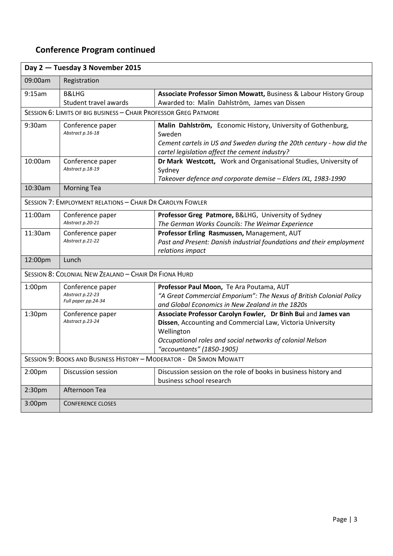## **Conference Program continued**

| Day 2 - Tuesday 3 November 2015                                     |                                                             |                                                                                                                                                                                                                                     |  |
|---------------------------------------------------------------------|-------------------------------------------------------------|-------------------------------------------------------------------------------------------------------------------------------------------------------------------------------------------------------------------------------------|--|
| 09:00am                                                             | Registration                                                |                                                                                                                                                                                                                                     |  |
| 9:15am                                                              | <b>B&amp;LHG</b><br>Student travel awards                   | Associate Professor Simon Mowatt, Business & Labour History Group<br>Awarded to: Malin Dahlström, James van Dissen                                                                                                                  |  |
| SESSION 6: LIMITS OF BIG BUSINESS - CHAIR PROFESSOR GREG PATMORE    |                                                             |                                                                                                                                                                                                                                     |  |
| 9:30am                                                              | Conference paper<br>Abstract p.16-18                        | Malin Dahlström, Economic History, University of Gothenburg,<br>Sweden<br>Cement cartels in US and Sweden during the 20th century - how did the<br>cartel legislation affect the cement industry?                                   |  |
| 10:00am                                                             | Conference paper<br>Abstract p.18-19                        | Dr Mark Westcott, Work and Organisational Studies, University of<br>Sydney<br>Takeover defence and corporate demise - Elders IXL, 1983-1990                                                                                         |  |
| 10:30am                                                             | <b>Morning Tea</b>                                          |                                                                                                                                                                                                                                     |  |
| SESSION 7: EMPLOYMENT RELATIONS - CHAIR DR CAROLYN FOWLER           |                                                             |                                                                                                                                                                                                                                     |  |
| 11:00am                                                             | Conference paper<br>Abstract p.20-21                        | Professor Greg Patmore, B&LHG, University of Sydney<br>The German Works Councils: The Weimar Experience                                                                                                                             |  |
| 11:30am                                                             | Conference paper<br>Abstract p.21-22                        | Professor Erling Rasmussen, Management, AUT<br>Past and Present: Danish industrial foundations and their employment<br>relations impact                                                                                             |  |
| 12:00pm                                                             | Lunch                                                       |                                                                                                                                                                                                                                     |  |
| SESSION 8: COLONIAL NEW ZEALAND - CHAIR DR FIONA HURD               |                                                             |                                                                                                                                                                                                                                     |  |
| 1:00pm                                                              | Conference paper<br>Abstract p.22-23<br>Full paper pp.24-34 | Professor Paul Moon, Te Ara Poutama, AUT<br>"A Great Commercial Emporium": The Nexus of British Colonial Policy<br>and Global Economics in New Zealand in the 1820s                                                                 |  |
| 1:30pm                                                              | Conference paper<br>Abstract p.23-24                        | Associate Professor Carolyn Fowler, Dr Binh Bui and James van<br>Dissen, Accounting and Commercial Law, Victoria University<br>Wellington<br>Occupational roles and social networks of colonial Nelson<br>"accountants" (1850-1905) |  |
| SESSION 9: BOOKS AND BUSINESS HISTORY - MODERATOR - DR SIMON MOWATT |                                                             |                                                                                                                                                                                                                                     |  |
| 2:00 <sub>pm</sub>                                                  | Discussion session                                          | Discussion session on the role of books in business history and<br>business school research                                                                                                                                         |  |
| 2:30 <sub>pm</sub>                                                  | Afternoon Tea                                               |                                                                                                                                                                                                                                     |  |
| 3:00pm                                                              | <b>CONFERENCE CLOSES</b>                                    |                                                                                                                                                                                                                                     |  |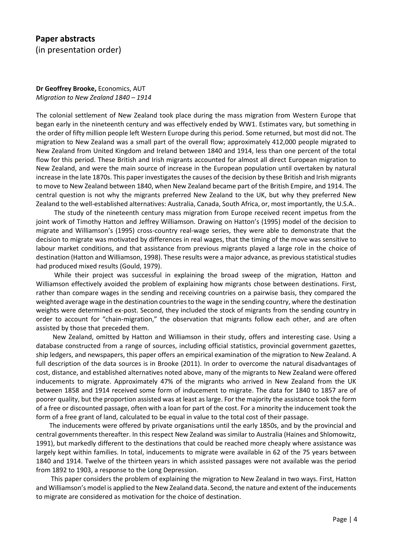**Dr Geoffrey Brooke,** Economics, AUT *Migration to New Zealand 1840 – 1914*

The colonial settlement of New Zealand took place during the mass migration from Western Europe that began early in the nineteenth century and was effectively ended by WW1. Estimates vary, but something in the order of fifty million people left Western Europe during this period. Some returned, but most did not. The migration to New Zealand was a small part of the overall flow; approximately 412,000 people migrated to New Zealand from United Kingdom and Ireland between 1840 and 1914, less than one percent of the total flow for this period. These British and Irish migrants accounted for almost all direct European migration to New Zealand, and were the main source of increase in the European population until overtaken by natural increase in the late 1870s. This paper investigates the causes of the decision by these British and Irish migrants to move to New Zealand between 1840, when New Zealand became part of the British Empire, and 1914. The central question is not why the migrants preferred New Zealand to the UK, but why they preferred New Zealand to the well-established alternatives: Australia, Canada, South Africa, or, most importantly, the U.S.A..

 The study of the nineteenth century mass migration from Europe received recent impetus from the joint work of Timothy Hatton and Jeffrey Williamson. Drawing on Hatton's (1995) model of the decision to migrate and Williamson's (1995) cross-country real-wage series, they were able to demonstrate that the decision to migrate was motivated by differences in real wages, that the timing of the move was sensitive to labour market conditions, and that assistance from previous migrants played a large role in the choice of destination (Hatton and Williamson, 1998). These results were a major advance, as previous statistical studies had produced mixed results (Gould, 1979).

While their project was successful in explaining the broad sweep of the migration, Hatton and Williamson effectively avoided the problem of explaining how migrants chose between destinations. First, rather than compare wages in the sending and receiving countries on a pairwise basis, they compared the weighted average wage in the destination countries to the wage in the sending country, where the destination weights were determined ex-post. Second, they included the stock of migrants from the sending country in order to account for "chain-migration," the observation that migrants follow each other, and are often assisted by those that preceded them.

 New Zealand, omitted by Hatton and Williamson in their study, offers and interesting case. Using a database constructed from a range of sources, including official statistics, provincial government gazettes, ship ledgers, and newspapers, this paper offers an empirical examination of the migration to New Zealand. A full description of the data sources is in Brooke (2011). In order to overcome the natural disadvantages of cost, distance, and established alternatives noted above, many of the migrants to New Zealand were offered inducements to migrate. Approximately 47% of the migrants who arrived in New Zealand from the UK between 1858 and 1914 received some form of inducement to migrate. The data for 1840 to 1857 are of poorer quality, but the proportion assisted was at least as large. For the majority the assistance took the form of a free or discounted passage, often with a loan for part of the cost. For a minority the inducement took the form of a free grant of land, calculated to be equal in value to the total cost of their passage.

 The inducements were offered by private organisations until the early 1850s, and by the provincial and central governments thereafter. In this respect New Zealand was similar to Australia (Haines and Shlomowitz, 1991), but markedly different to the destinations that could be reached more cheaply where assistance was largely kept within families. In total, inducements to migrate were available in 62 of the 75 years between 1840 and 1914. Twelve of the thirteen years in which assisted passages were not available was the period from 1892 to 1903, a response to the Long Depression.

 This paper considers the problem of explaining the migration to New Zealand in two ways. First, Hatton and Williamson's model is applied to the New Zealand data. Second, the nature and extent of the inducements to migrate are considered as motivation for the choice of destination.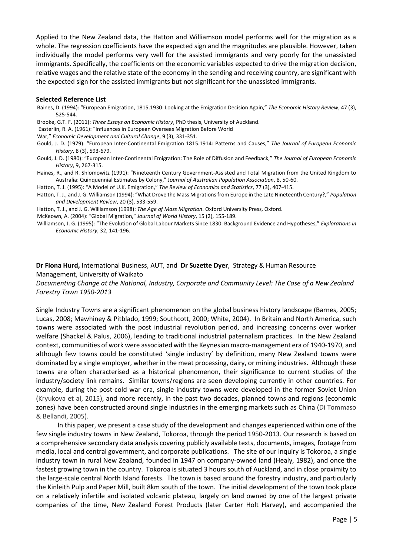Applied to the New Zealand data, the Hatton and Williamson model performs well for the migration as a whole. The regression coefficients have the expected sign and the magnitudes are plausible. However, taken individually the model performs very well for the assisted immigrants and very poorly for the unassisted immigrants. Specifically, the coefficients on the economic variables expected to drive the migration decision, relative wages and the relative state of the economy in the sending and receiving country, are significant with the expected sign for the assisted immigrants but not significant for the unassisted immigrants.

#### **Selected Reference List**

- Baines, D. (1994): "European Emigration, 1815.1930: Looking at the Emigration Decision Again," *The Economic History Review*, 47 (3), 525-544.
- Brooke, G.T. F. (2011): *Three Essays on Economic History*, PhD thesis, University of Auckland.
- Easterlin, R. A. (1961): "Influences in European Overseas Migration Before World
- War," *Economic Development and Cultural Change*, 9 (3), 331-351.
- Gould, J. D. (1979): "European Inter-Continental Emigration 1815.1914: Patterns and Causes," *The Journal of European Economic History*, 8 (3), 593-679.
- Gould, J. D. (1980): "European Inter-Continental Emigration: The Role of Diffusion and Feedback," *The Journal of European Economic History*, 9, 267-315.
- Haines, R., and R. Shlomowitz (1991): "Nineteenth Century Government-Assisted and Total Migration from the United Kingdom to Australia: Quinquennial Estimates by Colony," J*ournal of Australian Population Association*, 8, 50-60.
- Hatton, T. J. (1995): "A Model of U.K. Emigration," *The Review of Economics and Statistics*, 77 (3), 407-415.
- Hatton, T. J., and J. G. Williamson (1994): "What Drove the Mass Migrations from Europe in the Late Nineteenth Century?," *Population and Development Review*, 20 (3), 533-559.
- Hatton, T. J., and J. G. Williamson (1998): *The Age of Mass Migration*. Oxford University Press, Oxford.
- McKeown, A. (2004): "Global Migration," *Journal of World History*, 15 (2), 155-189.

Williamson, J. G. (1995): "The Evolution of Global Labour Markets Since 1830: Background Evidence and Hypotheses," *Explorations in Economic History*, 32, 141-196.

**Dr Fiona Hurd,** International Business, AUT, and **Dr Suzette Dyer**, Strategy & Human Resource Management, University of Waikato

*Documenting Change at the National, Industry, Corporate and Community Level: The Case of a New Zealand Forestry Town 1950-2013*

Single Industry Towns are a significant phenomenon on the global business history landscape (Barnes, 2005; Lucas, 2008; Mawhiney & Pitblado, 1999; Southcott, 2000; White, 2004). In Britain and North America, such towns were associated with the post industrial revolution period, and increasing concerns over worker welfare (Shackel & Palus, 2006), leading to traditional industrial paternalism practices. In the New Zealand context, communities of work were associated with the Keynesian macro-management era of 1940-1970, and although few towns could be constituted 'single industry' by definition, many New Zealand towns were dominated by a single employer, whether in the meat processing, dairy, or mining industries. Although these towns are often characterised as a historical phenomenon, their significance to current studies of the industry/society link remains. Similar towns/regions are seen developing currently in other countries. For example, during the post-cold war era, single industry towns were developed in the former Soviet Union (Kryukova et al, 2015), and more recently, in the past two decades, planned towns and regions (economic zones) have been constructed around single industries in the emerging markets such as China (Di Tommaso & Bellandi, 2005).

 In this paper, we present a case study of the development and changes experienced within one of the few single industry towns in New Zealand, Tokoroa, through the period 1950-2013. Our research is based on a comprehensive secondary data analysis covering publicly available texts, documents, images, footage from media, local and central government, and corporate publications. The site of our inquiry is Tokoroa, a single industry town in rural New Zealand, founded in 1947 on company-owned land (Healy, 1982), and once the fastest growing town in the country. Tokoroa is situated 3 hours south of Auckland, and in close proximity to the large-scale central North Island forests. The town is based around the forestry industry, and particularly the Kinleith Pulp and Paper Mill, built 8km south of the town. The initial development of the town took place on a relatively infertile and isolated volcanic plateau, largely on land owned by one of the largest private companies of the time, New Zealand Forest Products (later Carter Holt Harvey), and accompanied the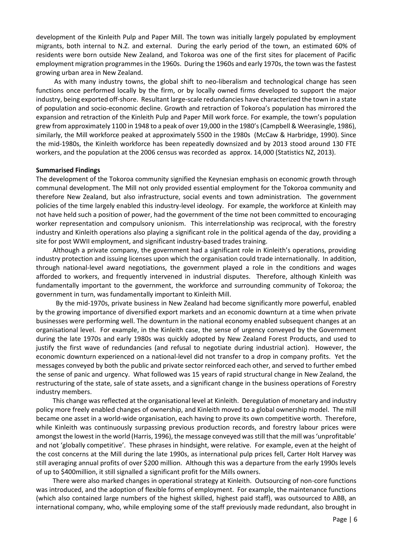development of the Kinleith Pulp and Paper Mill. The town was initially largely populated by employment migrants, both internal to N.Z. and external. During the early period of the town, an estimated 60% of residents were born outside New Zealand, and Tokoroa was one of the first sites for placement of Pacific employment migration programmes in the 1960s. During the 1960s and early 1970s, the town was the fastest growing urban area in New Zealand.

 As with many industry towns, the global shift to neo-liberalism and technological change has seen functions once performed locally by the firm, or by locally owned firms developed to support the major industry, being exported off-shore. Resultant large-scale redundancies have characterized the town in a state of population and socio-economic decline. Growth and retraction of Tokoroa's population has mirrored the expansion and retraction of the Kinleith Pulp and Paper Mill work force. For example, the town's population grew from approximately 1100 in 1948 to a peak of over 19,000 in the 1980's (Campbell & Weerasingle, 1986), similarly, the Mill workforce peaked at approximately 5500 in the 1980s (McCaw & Harbridge, 1990). Since the mid-1980s, the Kinleith workforce has been repeatedly downsized and by 2013 stood around 130 FTE workers, and the population at the 2006 census was recorded as approx. 14,000 (Statistics NZ, 2013).

#### **Summarised Findings**

The development of the Tokoroa community signified the Keynesian emphasis on economic growth through communal development. The Mill not only provided essential employment for the Tokoroa community and therefore New Zealand, but also infrastructure, social events and town administration. The government policies of the time largely enabled this industry-level ideology. For example, the workforce at Kinleith may not have held such a position of power, had the government of the time not been committed to encouraging worker representation and compulsory unionism. This interrelationship was reciprocal, with the forestry industry and Kinleith operations also playing a significant role in the political agenda of the day, providing a site for post WWII employment, and significant industry-based trades training.

 Although a private company, the government had a significant role in Kinleith's operations, providing industry protection and issuing licenses upon which the organisation could trade internationally. In addition, through national-level award negotiations, the government played a role in the conditions and wages afforded to workers, and frequently intervened in industrial disputes. Therefore, although Kinleith was fundamentally important to the government, the workforce and surrounding community of Tokoroa; the government in turn, was fundamentally important to Kinleith Mill.

 By the mid-1970s, private business in New Zealand had become significantly more powerful, enabled by the growing importance of diversified export markets and an economic downturn at a time when private businesses were performing well. The downturn in the national economy enabled subsequent changes at an organisational level. For example, in the Kinleith case, the sense of urgency conveyed by the Government during the late 1970s and early 1980s was quickly adopted by New Zealand Forest Products, and used to justify the first wave of redundancies (and refusal to negotiate during industrial action). However, the economic downturn experienced on a national-level did not transfer to a drop in company profits. Yet the messages conveyed by both the public and private sector reinforced each other, and served to further embed the sense of panic and urgency. What followed was 15 years of rapid structural change in New Zealand, the restructuring of the state, sale of state assets, and a significant change in the business operations of Forestry industry members.

 This change was reflected at the organisational level at Kinleith. Deregulation of monetary and industry policy more freely enabled changes of ownership, and Kinleith moved to a global ownership model. The mill became one asset in a world-wide organisation, each having to prove its own competitive worth. Therefore, while Kinleith was continuously surpassing previous production records, and forestry labour prices were amongst the lowest in the world (Harris, 1996), the message conveyed was still that the mill was 'unprofitable' and not 'globally competitive'. These phrases in hindsight, were relative. For example, even at the height of the cost concerns at the Mill during the late 1990s, as international pulp prices fell, Carter Holt Harvey was still averaging annual profits of over \$200 million. Although this was a departure from the early 1990s levels of up to \$400million, it still signalled a significant profit for the Mills owners.

 There were also marked changes in operational strategy at Kinleith. Outsourcing of non-core functions was introduced, and the adoption of flexible forms of employment. For example, the maintenance functions (which also contained large numbers of the highest skilled, highest paid staff), was outsourced to ABB, an international company, who, while employing some of the staff previously made redundant, also brought in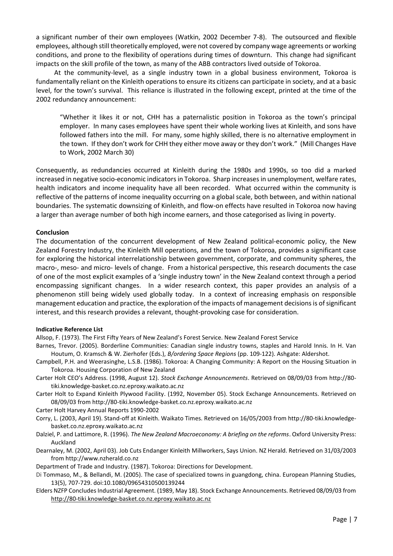a significant number of their own employees (Watkin, 2002 December 7-8). The outsourced and flexible employees, although still theoretically employed, were not covered by company wage agreements or working conditions, and prone to the flexibility of operations during times of downturn. This change had significant impacts on the skill profile of the town, as many of the ABB contractors lived outside of Tokoroa.

 At the community-level, as a single industry town in a global business environment, Tokoroa is fundamentally reliant on the Kinleith operations to ensure its citizens can participate in society, and at a basic level, for the town's survival. This reliance is illustrated in the following except, printed at the time of the 2002 redundancy announcement:

"Whether it likes it or not, CHH has a paternalistic position in Tokoroa as the town's principal employer. In many cases employees have spent their whole working lives at Kinleith, and sons have followed fathers into the mill. For many, some highly skilled, there is no alternative employment in the town. If they don't work for CHH they either move away or they don't work." (Mill Changes Have to Work, 2002 March 30)

Consequently, as redundancies occurred at Kinleith during the 1980s and 1990s, so too did a marked increased in negative socio-economic indicators in Tokoroa. Sharp increases in unemployment, welfare rates, health indicators and income inequality have all been recorded. What occurred within the community is reflective of the patterns of income inequality occurring on a global scale, both between, and within national boundaries. The systematic downsizing of Kinleith, and flow-on effects have resulted in Tokoroa now having a larger than average number of both high income earners, and those categorised as living in poverty.

#### **Conclusion**

The documentation of the concurrent development of New Zealand political-economic policy, the New Zealand Forestry Industry, the Kinleith Mill operations, and the town of Tokoroa, provides a significant case for exploring the historical interrelationship between government, corporate, and community spheres, the macro-, meso- and micro- levels of change. From a historical perspective, this research documents the case of one of the most explicit examples of a 'single industry town' in the New Zealand context through a period encompassing significant changes. In a wider research context, this paper provides an analysis of a phenomenon still being widely used globally today. In a context of increasing emphasis on responsible management education and practice, the exploration of the impacts of management decisions is of significant interest, and this research provides a relevant, thought-provoking case for consideration.

#### **Indicative Reference List**

Allsop, F. (1973). The First Fifty Years of New Zealand's Forest Service. New Zealand Forest Service

- Barnes, Trevor. (2005). Borderline Communities: Canadian single industry towns, staples and Harold Innis. In H. Van Houtum, O. Kramsch & W. Zierhofer (Eds.), *B/ordering Space Regions* (pp. 109-122). Ashgate: Aldershot.
- Campbell, P.H. and Weerasinghe, L.S.B. (1986). Tokoroa: A Changing Community: A Report on the Housing Situation in Tokoroa. Housing Corporation of New Zealand
- Carter Holt CEO's Address. (1998, August 12). *Stock Exchange Announcements*. Retrieved on 08/09/03 from http://80 tiki.knowledge-basket.co.nz.eproxy.waikato.ac.nz
- Carter Holt to Expand Kinleith Plywood Facility. (1992, November 05). Stock Exchange Announcements. Retrieved on 08/09/03 from http://80-tiki.knowledge-basket.co.nz.eproxy.waikato.ac.nz

Carter Holt Harvey Annual Reports 1990-2002

- Corry, L. (2003, April 19). Stand-off at Kinleith. Waikato Times. Retrieved on 16/05/2003 from http://80-tiki.knowledgebasket.co.nz.eproxy.waikato.ac.nz
- Dalziel, P. and Lattimore, R. (1996). *The New Zealand Macroeconomy: A briefing on the reforms*. Oxford University Press: Auckland
- Dearnaley, M. (2002, April 03). Job Cuts Endanger Kinleith Millworkers, Says Union. NZ Herald. Retrieved on 31/03/2003 from http://www.nzherald.co.nz

Department of Trade and Industry. (1987). Tokoroa: Directions for Development.

- Di Tommaso, M., & Bellandi, M. (2005). The case of specialized towns in guangdong, china. European Planning Studies, 13(5), 707-729. doi:10.1080/09654310500139244
- Elders NZFP Concludes Industrial Agreement. (1989, May 18). Stock Exchange Announcements. Retrieved 08/09/03 from [http://80-tiki.knowledge-basket.co.nz.eproxy.waikato.ac.nz](http://80-tiki.knowledge-basket.co.nz.eproxy.waikato.ac.nz/)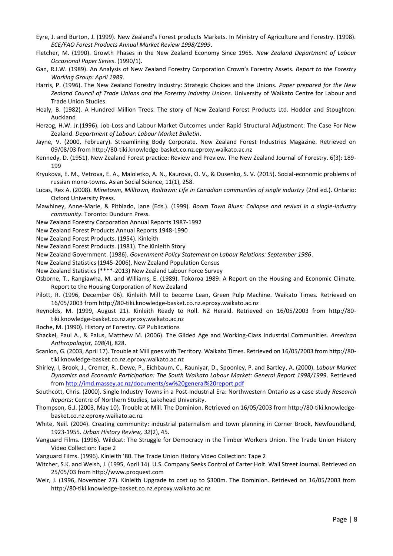- Eyre, J. and Burton, J. (1999). New Zealand's Forest products Markets. In Ministry of Agriculture and Forestry. (1998). *ECE/FAO Forest Products Annual Market Review 1998/1999*.
- Fletcher, M. (1990). Growth Phases in the New Zealand Economy Since 1965. *New Zealand Department of Labour Occasional Paper Series*. (1990/1).
- Gan, R.I.W. (1989). An Analysis of New Zealand Forestry Corporation Crown's Forestry Assets. *Report to the Forestry Working Group: April 1989*.
- Harris, P. (1996). The New Zealand Forestry Industry: Strategic Choices and the Unions. *Paper prepared for the New Zealand Council of Trade Unions and the Forestry Industry Unions.* University of Waikato Centre for Labour and Trade Union Studies
- Healy, B. (1982). A Hundred Million Trees: The story of New Zealand Forest Products Ltd. Hodder and Stoughton: Auckland
- Herzog, H.W. Jr.(1996). Job-Loss and Labour Market Outcomes under Rapid Structural Adjustment: The Case For New Zealand. *Department of Labour: Labour Market Bulletin*.
- Jayne, V. (2000, February). Streamlining Body Corporate. New Zealand Forest Industries Magazine. Retrieved on 09/08/03 from http://80-tiki.knowledge-basket.co.nz.eproxy.waikato.ac.nz
- Kennedy, D. (1951). New Zealand Forest practice: Review and Preview. The New Zealand Journal of Forestry. 6(3): 189- 199
- Kryukova, E. M., Vetrova, E. A., Maloletko, A. N., Kaurova, O. V., & Dusenko, S. V. (2015). Social-economic problems of russian mono-towns. Asian Social Science, 11(1), 258.
- Lucas, Rex A. (2008). *Minetown, Milltown, Railtown: Life in Canadian communties of single industry* (2nd ed.). Ontario: Oxford University Press.
- Mawhiney, Anne-Marie, & Pitblado, Jane (Eds.). (1999). *Boom Town Blues: Collapse and revival in a single-industry community*. Toronto: Dundurn Press.
- New Zealand Forestry Corporation Annual Reports 1987-1992
- New Zealand Forest Products Annual Reports 1948-1990

New Zealand Forest Products. (1954). Kinleith

- New Zealand Forest Products. (1981). The Kinleith Story
- New Zealand Government. (1986). *Government Policy Statement on Labour Relations: September 1986*.
- New Zealand Statistics (1945-2006), New Zealand Population Census
- New Zealand Statistics (\*\*\*\*-2013) New Zealand Labour Force Survey
- Osborne, T., Rangiawha, M. and Williams, E. (1989). Tokoroa 1989: A Report on the Housing and Economic Climate. Report to the Housing Corporation of New Zealand
- Pilott, R. (1996, December 06). Kinleith Mill to become Lean, Green Pulp Machine. Waikato Times. Retrieved on 16/05/2003 from http://80-tiki.knowledge-basket.co.nz.eproxy.waikato.ac.nz
- Reynolds, M. (1999, August 21). Kinleith Ready to Roll. NZ Herald. Retrieved on 16/05/2003 from http://80 tiki.knowledge-basket.co.nz.eproxy.waikato.ac.nz
- Roche, M. (1990). History of Forestry. GP Publications
- Shackel, Paul A., & Palus, Matthew M. (2006). The Gilded Age and Working-Class Industrial Communities. *American Anthropologist, 108*(4), 828.
- Scanlon, G. (2003, April 17). Trouble at Mill goes with Territory. Waikato Times. Retrieved on 16/05/2003 from http://80 tiki.knowledge-basket.co.nz.eproxy.waikato.ac.nz
- Shirley, I, Brook, J., Cremer, R., Dewe, P., Eichbaum, C., Rauniyar, D., Spoonley, P. and Bartley, A. (2000). *Labour Market Dynamics and Economic Participation: The South Waikato Labour Market: General Report 1998/1999*. Retrieved fro[m http://imd.massey.ac.nz/documents/sw%20general%20report.pdf](http://imd.massey.ac.nz/documents/sw%20general%20report.pdf)
- Southcott, Chris. (2000). Single Industry Towns in a Post-Industrial Era: Northwestern Ontario as a case study *Research Reports*: Centre of Northern Studies, Lakehead University.
- Thompson, G.J. (2003, May 10). Trouble at Mill. The Dominion. Retrieved on 16/05/2003 from http://80-tiki.knowledgebasket.co.nz.eproxy.waikato.ac.nz
- White, Neil. (2004). Creating community: industrial paternalism and town planning in Corner Brook, Newfoundland, 1923-1955. *Urban History Review, 32*(2), 45.
- Vanguard Films. (1996). Wildcat: The Struggle for Democracy in the Timber Workers Union. The Trade Union History Video Collection: Tape 2
- Vanguard Films. (1996). Kinleith '80. The Trade Union History Video Collection: Tape 2
- Witcher, S.K. and Welsh, J. (1995, April 14). U.S. Company Seeks Control of Carter Holt. Wall Street Journal. Retrieved on 25/05/03 from http://www.proquest.com
- Weir, J. (1996, November 27). Kinleith Upgrade to cost up to \$300m. The Dominion. Retrieved on 16/05/2003 from http://80-tiki.knowledge-basket.co.nz.eproxy.waikato.ac.nz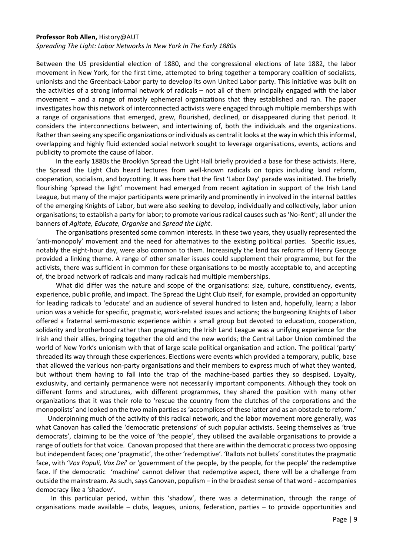#### **Professor Rob Allen,** History@AUT

*Spreading The Light: Labor Networks In New York In The Early 1880s*

Between the US presidential election of 1880, and the congressional elections of late 1882, the labor movement in New York, for the first time, attempted to bring together a temporary coalition of socialists, unionists and the Greenback-Labor party to develop its own United Labor party. This initiative was built on the activities of a strong informal network of radicals – not all of them principally engaged with the labor movement – and a range of mostly ephemeral organizations that they established and ran. The paper investigates how this network of interconnected activists were engaged through multiple memberships with a range of organisations that emerged, grew, flourished, declined, or disappeared during that period. It considers the interconnections between, and intertwining of, both the individuals and the organizations. Rather than seeing any specific organizations or individuals as central it looks at the way in which this informal, overlapping and highly fluid extended social network sought to leverage organisations, events, actions and publicity to promote the cause of labor.

 In the early 1880s the Brooklyn Spread the Light Hall briefly provided a base for these activists. Here, the Spread the Light Club heard lectures from well-known radicals on topics including land reform, cooperation, socialism, and boycotting. It was here that the first 'Labor Day' parade was initiated. The briefly flourishing 'spread the light' movement had emerged from recent agitation in support of the Irish Land League, but many of the major participants were primarily and prominently in involved in the internal battles of the emerging Knights of Labor, but were also seeking to develop, individually and collectively, labor union organisations; to establish a party for labor; to promote various radical causes such as 'No-Rent'; all under the banners of *Agitate, Educate, Organise* and *Spread the Light*.

 The organisations presented some common interests. In these two years, they usually represented the 'anti-monopoly' movement and the need for alternatives to the existing political parties. Specific issues, notably the eight-hour day, were also common to them. Increasingly the land tax reforms of Henry George provided a linking theme. A range of other smaller issues could supplement their programme, but for the activists, there was sufficient in common for these organisations to be mostly acceptable to, and accepting of, the broad network of radicals and many radicals had multiple memberships.

What did differ was the nature and scope of the organisations: size, culture, constituency, events, experience, public profile, and impact. The Spread the Light Club itself, for example, provided an opportunity for leading radicals to 'educate' and an audience of several hundred to listen and, hopefully, learn; a labor union was a vehicle for specific, pragmatic, work-related issues and actions; the burgeoning Knights of Labor offered a fraternal semi-masonic experience within a small group but devoted to education, cooperation, solidarity and brotherhood rather than pragmatism; the Irish Land League was a unifying experience for the Irish and their allies, bringing together the old and the new worlds; the Central Labor Union combined the world of New York's unionism with that of large scale political organisation and action. The political 'party' threaded its way through these experiences. Elections were events which provided a temporary, public, base that allowed the various non-party organisations and their members to express much of what they wanted, but without them having to fall into the trap of the machine-based parties they so despised. Loyalty, exclusivity, and certainly permanence were not necessarily important components. Although they took on different forms and structures, with different programmes, they shared the position with many other organizations that it was their role to 'rescue the country from the clutches of the corporations and the monopolists' and looked on the two main parties as 'accomplices of these latter and as an obstacle to reform.'

 Underpinning much of the activity of this radical network, and the labor movement more generally, was what Canovan has called the 'democratic pretensions' of such popular activists. Seeing themselves as 'true democrats', claiming to be the voice of 'the people', they utilised the available organisations to provide a range of outlets for that voice. Canovan proposed that there are within the democratic process two opposing but independent faces; one 'pragmatic', the other 'redemptive'. 'Ballots not bullets' constitutes the pragmatic face, with '*Vox Populi, Vox Dei*' or 'government of the people, by the people, for the people' the redemptive face. If the democratic 'machine' cannot deliver that redemptive aspect, there will be a challenge from outside the mainstream. As such, says Canovan, populism – in the broadest sense of that word - accompanies democracy like a 'shadow'.

 In this particular period, within this 'shadow', there was a determination, through the range of organisations made available – clubs, leagues, unions, federation, parties – to provide opportunities and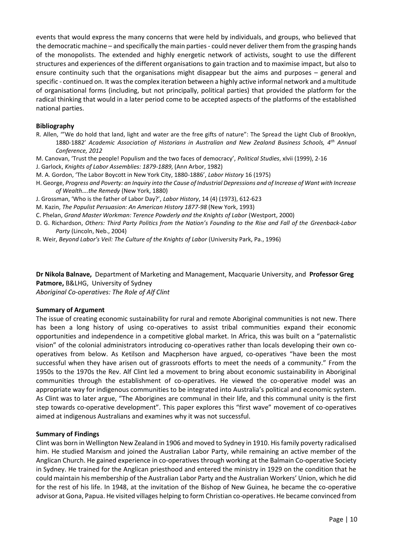events that would express the many concerns that were held by individuals, and groups, who believed that the democratic machine – and specifically the main parties - could never deliver them from the grasping hands of the monopolists. The extended and highly energetic network of activists, sought to use the different structures and experiences of the different organisations to gain traction and to maximise impact, but also to ensure continuity such that the organisations might disappear but the aims and purposes – general and specific - continued on. It was the complex iteration between a highly active informal network and a multitude of organisational forms (including, but not principally, political parties) that provided the platform for the radical thinking that would in a later period come to be accepted aspects of the platforms of the established national parties.

### **Bibliography**

- R. Allen, '"We do hold that land, light and water are the free gifts of nature": The Spread the Light Club of Brooklyn, 1880-1882' *Academic Association of Historians in Australian and New Zealand Business Schools, 4th Annual Conference, 2012*
- M. Canovan, 'Trust the people! Populism and the two faces of democracy', *Political Studies*, xlvii (1999), 2-16
- J. Garlock, *Knights of Labor Assemblies: 1879-1889*, (Ann Arbor, 1982)
- M. A. Gordon, 'The Labor Boycott in New York City, 1880-1886', *Labor History* 16 (1975)
- H. George, *Progress and Poverty: an Inquiry into the Cause of Industrial Depressions and of Increase of Want with Increase of Wealth….the Remedy* (New York, 1880)
- J. Grossman, 'Who is the father of Labor Day?', *Labor History*, 14 (4) (1973), 612-623
- M. Kazin, *The Populist Persuasion: An American History 1877-98* (New York, 1993)
- C. Phelan, *Grand Master Workman: Terence Powderly and the Knights of Labor* (Westport, 2000)
- D. G. Richardson, *Others: Third Party Politics from the Nation's Founding to the Rise and Fall of the Greenback-Labor Party* (Lincoln, Neb., 2004)
- R. Weir, *Beyond Labor's Veil: The Culture of the Knights of Labor* (University Park, Pa., 1996)

**Dr Nikola Balnave,** Department of Marketing and Management, Macquarie University, and **Professor Greg Patmore,** B&LHG, University of Sydney *Aboriginal Co-operatives: The Role of Alf Clint*

#### **Summary of Argument**

The issue of creating economic sustainability for rural and remote Aboriginal communities is not new. There has been a long history of using co-operatives to assist tribal communities expand their economic opportunities and independence in a competitive global market. In Africa, this was built on a "paternalistic vision" of the colonial administrators introducing co-operatives rather than locals developing their own cooperatives from below. As Ketilson and Macpherson have argued, co-operatives "have been the most successful when they have arisen out of grassroots efforts to meet the needs of a community." From the 1950s to the 1970s the Rev. Alf Clint led a movement to bring about economic sustainability in Aboriginal communities through the establishment of co-operatives. He viewed the co-operative model was an appropriate way for indigenous communities to be integrated into Australia's political and economic system. As Clint was to later argue, "The Aborigines are communal in their life, and this communal unity is the first step towards co-operative development". This paper explores this "first wave" movement of co-operatives aimed at indigenous Australians and examines why it was not successful.

#### **Summary of Findings**

Clint was born in Wellington New Zealand in 1906 and moved to Sydney in 1910. His family poverty radicalised him. He studied Marxism and joined the Australian Labor Party, while remaining an active member of the Anglican Church. He gained experience in co-operatives through working at the Balmain Co-operative Society in Sydney. He trained for the Anglican priesthood and entered the ministry in 1929 on the condition that he could maintain his membership of the Australian Labor Party and the Australian Workers' Union, which he did for the rest of his life. In 1948, at the invitation of the Bishop of New Guinea, he became the co-operative advisor at Gona, Papua. He visited villages helping to form Christian co-operatives. He became convinced from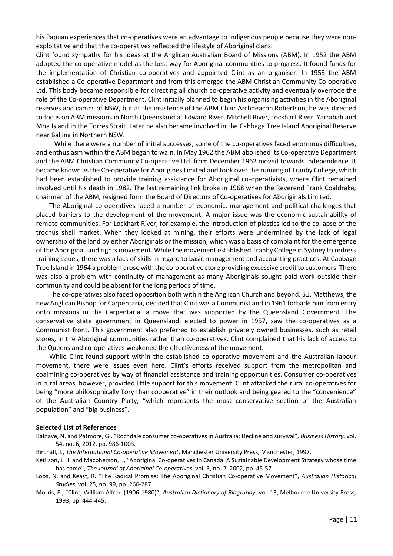his Papuan experiences that co-operatives were an advantage to indigenous people because they were nonexploitative and that the co-operatives reflected the lifestyle of Aboriginal clans.

Clint found sympathy for his ideas at the Anglican Australian Board of Missions (ABM). In 1952 the ABM adopted the co-operative model as the best way for Aboriginal communities to progress. It found funds for the implementation of Christian co-operatives and appointed Clint as an organiser. In 1953 the ABM established a Co-operative Department and from this emerged the ABM Christian Community Co-operative Ltd. This body became responsible for directing all church co-operative activity and eventually overrode the role of the Co-operative Department. Clint initially planned to begin his organising activities in the Aboriginal reserves and camps of NSW, but at the insistence of the ABM Chair Archdeacon Robertson, he was directed to focus on ABM missions in North Queensland at Edward River, Mitchell River, Lockhart River, Yarrabah and Moa Island in the Torres Strait. Later he also became involved in the Cabbage Tree Island Aboriginal Reserve near Ballina in Northern NSW.

 While there were a number of initial successes, some of the co-operatives faced enormous difficulties, and enthusiasm within the ABM began to wain. In May 1962 the ABM abolished its Co-operative Department and the ABM Christian Community Co-operative Ltd. from December 1962 moved towards independence. It became known as the Co-operative for Aborigines Limited and took over the running of Tranby College, which had been established to provide training assistance for Aboriginal co-operativists, where Clint remained involved until his death in 1982. The last remaining link broke in 1968 when the Reverend Frank Coaldrake, chairman of the ABM, resigned form the Board of Directors of Co-operatives for Aboriginals Limited.

 The Aboriginal co-operatives faced a number of economic, management and political challenges that placed barriers to the development of the movement. A major issue was the economic sustainability of remote communities. For Lockhart River, for example, the introduction of plastics led to the collapse of the trochus shell market. When they looked at mining, their efforts were undermined by the lack of legal ownership of the land by either Aboriginals or the mission, which was a basis of complaint for the emergence of the Aboriginal land rights movement. While the movement established Tranby College in Sydney to redress training issues, there was a lack of skills in regard to basic management and accounting practices. At Cabbage Tree Island in 1964 a problem arose with the co-operative store providing excessive credit to customers. There was also a problem with continuity of management as many Aboriginals sought paid work outside their community and could be absent for the long periods of time.

 The co-operatives also faced opposition both within the Anglican Church and beyond. S.J. Matthews, the new Anglican Bishop for Carpentaria, decided that Clint was a Communist and in 1961 forbade him from entry onto missions in the Carpentaria, a move that was supported by the Queensland Government. The conservative state government in Queensland, elected to power in 1957, saw the co-operatives as a Communist front. This government also preferred to establish privately owned businesses, such as retail stores, in the Aboriginal communities rather than co-operatives. Clint complained that his lack of access to the Queensland co-operatives weakened the effectiveness of the movement.

 While Clint found support within the established co-operative movement and the Australian labour movement, there were issues even here. Clint's efforts received support from the metropolitan and coalmining co-operatives by way of financial assistance and training opportunities. Consumer co-operatives in rural areas, however, provided little support for this movement. Clint attacked the rural co-operatives for being "more philosophically Tory than cooperative" in their outlook and being geared to the "convenience" of the Australian Country Party, "which represents the most conservative section of the Australian population" and "big business".

#### **Selected List of References**

- Balnave, N. and Patmore, G., "Rochdale consumer co-operatives in Australia: Decline and survival", *Business History*, vol. 54, no. 6, 2012, pp. 986-1003.
- Birchall, J., *The International Co-operative Movement*, Manchester University Press, Manchester, 1997.
- Ketilson, L.H. and Macpherson, I., "Aboriginal Co-operatives in Canada. A Sustainable Development Strategy whose time has come", *The Journal of Aboriginal Co-operatives*, vol. 3, no. 2, 2002, pp. 45-57.
- Loos, N. and Keast, R. "The Radical Promise: The Aboriginal Christian Co-operative Movement", *Australian Historical Studies*, vol. 25, no. 99, pp. 266-287.
- Morris, E., "Clint, William Alfred (1906-1980)", *Australian Dictionary of Biography*, vol. 13, Melbourne University Press, 1993, pp. 444-445.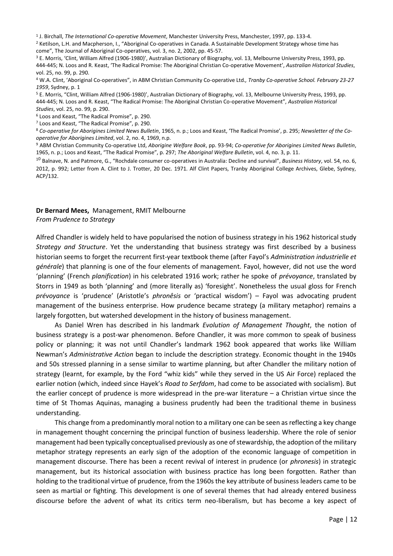1 J. Birchall, *The International Co-operative Movement*, Manchester University Press, Manchester, 1997, pp. 133-4.

<sup>2</sup> Ketilson, L.H. and Macpherson, I., "Aboriginal Co-operatives in Canada. A Sustainable Development Strategy whose time has come", The Journal of Aboriginal Co-operatives, vol. 3, no. 2, 2002, pp. 45-57.

<sup>3</sup> E. Morris, 'Clint, William Alfred (1906-1980)', Australian Dictionary of Biography, vol. 13, Melbourne University Press, 1993, pp. 444-445; N. Loos and R. Keast, 'The Radical Promise: The Aboriginal Christian Co-operative Movement', *Australian Historical Studies*, vol. 25, no. 99, p. 290.

<sup>4</sup> W.A. Clint, 'Aboriginal Co-operatives", in ABM Christian Community Co-operative Ltd.*, Tranby Co-operative School. February 23-27 1959*, Sydney, p. 1

<sup>5</sup> E. Morris, "Clint, William Alfred (1906-1980)', Australian Dictionary of Biography, vol. 13, Melbourne University Press, 1993, pp. 444-445; N. Loos and R. Keast, "The Radical Promise: The Aboriginal Christian Co-operative Movement", *Australian Historical Studies*, vol. 25, no. 99, p. 290.

<sup>6</sup> Loos and Keast, "The Radical Promise", p. 290.

<sup>7</sup> Loos and Keast, "The Radical Promise", p. 290.

<sup>8</sup> *Co-operative for Aborigines Limited News Bulletin*, 1965, n. p.; Loos and Keast, 'The Radical Promise', p. 295; *Newsletter of the Cooperative for Aborigines Limited*, vol. 2, no. 4, 1969, n.p.

<sup>9</sup> ABM Christian Community Co-operative Ltd, *Aborigine Welfare Book*, pp. 93-94; *Co-operative for Aborigines Limited News Bulletin*, 1965, n. p.; Loos and Keast, "The Radical Promise", p. 297; *The Aboriginal Welfare Bulletin*, vol. 4, no. 3, p. 11.

10 Balnave, N. and Patmore, G., "Rochdale consumer co-operatives in Australia: Decline and survival", *Business History*, vol. 54, no. 6, 2012, p. 992; Letter from A. Clint to J. Trotter, 20 Dec. 1971. Alf Clint Papers, Tranby Aboriginal College Archives, Glebe, Sydney, ACP/132.

## **Dr Bernard Mees,** Management, RMIT Melbourne

*From Prudence to Strategy*

Alfred Chandler is widely held to have popularised the notion of business strategy in his 1962 historical study *Strategy and Structure*. Yet the understanding that business strategy was first described by a business historian seems to forget the recurrent first-year textbook theme (after Fayol's *Administration industrielle et générale*) that planning is one of the four elements of management. Fayol, however, did not use the word 'planning' (French *planification*) in his celebrated 1916 work; rather he spoke of *prévoyance*, translated by Storrs in 1949 as both 'planning' and (more literally as) 'foresight'. Nonetheless the usual gloss for French *prévoyance* is 'prudence' (Aristotle's *phronêsis* or 'practical wisdom') – Fayol was advocating prudent management of the business enterprise. How prudence became strategy (a military metaphor) remains a largely forgotten, but watershed development in the history of business management.

As Daniel Wren has described in his landmark *Evolution of Management Thought*, the notion of business strategy is a post-war phenomenon. Before Chandler, it was more common to speak of business policy or planning; it was not until Chandler's landmark 1962 book appeared that works like William Newman's *Administrative Action* began to include the description strategy. Economic thought in the 1940s and 50s stressed planning in a sense similar to wartime planning, but after Chandler the military notion of strategy (learnt, for example, by the Ford "whiz kids" while they served in the US Air Force) replaced the earlier notion (which, indeed since Hayek's *Road to Serfdom*, had come to be associated with socialism). But the earlier concept of prudence is more widespread in the pre-war literature – a Christian virtue since the time of St Thomas Aquinas, managing a business prudently had been the traditional theme in business understanding.

This change from a predominantly moral notion to a military one can be seen as reflecting a key change in management thought concerning the principal function of business leadership. Where the role of senior management had been typically conceptualised previously as one of stewardship, the adoption of the military metaphor strategy represents an early sign of the adoption of the economic language of competition in management discourse. There has been a recent revival of interest in prudence (or *phronesis*) in strategic management, but its historical association with business practice has long been forgotten. Rather than holding to the traditional virtue of prudence, from the 1960s the key attribute of business leaders came to be seen as martial or fighting. This development is one of several themes that had already entered business discourse before the advent of what its critics term neo-liberalism, but has become a key aspect of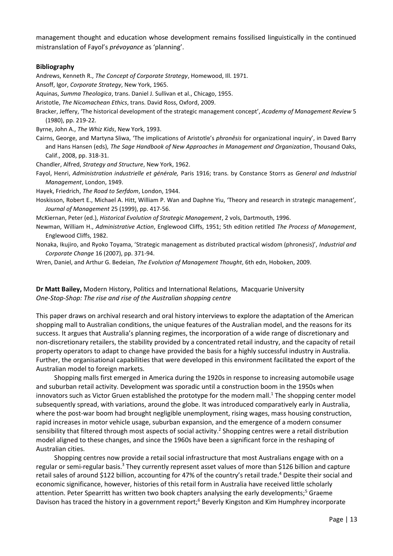management thought and education whose development remains fossilised linguistically in the continued mistranslation of Fayol's *prévoyance* as 'planning'.

#### **Bibliography**

Andrews, Kenneth R., *The Concept of Corporate Strategy*, Homewood, Ill. 1971.

Ansoff, Igor, *Corporate Strategy*, New York, 1965.

Aquinas, *Summa Theologica*, trans. Daniel J. Sullivan et al., Chicago, 1955.

Aristotle, *The Nicomachean Ethics*, trans. David Ross, Oxford, 2009.

Bracker, Jeffery, 'The historical development of the strategic management concept', *Academy of Management Review* 5 (1980), pp. 219-22.

Byrne, John A., *The Whiz Kids*, New York, 1993.

Cairns, George, and Martyna Sliwa, 'The implications of Aristotle's *phronêsis* for organizational inquiry', in Daved Barry and Hans Hansen (eds), *The Sage Handbook of New Approaches in Management and Organization*, Thousand Oaks, Calif., 2008, pp. 318-31.

Chandler, Alfred, *Strategy and Structure*, New York, 1962.

Fayol, Henri, *Administration industrielle et générale,* Paris 1916; trans. by Constance Storrs as *General and Industrial Management*, London, 1949.

Hayek, Friedrich, *The Road to Serfdom*, London, 1944.

Hoskisson, Robert E., Michael A. Hitt, William P. Wan and Daphne Yiu, 'Theory and research in strategic management', *Journal of Management* 25 (1999), pp. 417-56.

McKiernan, Peter (ed.), *Historical Evolution of Strategic Management*, 2 vols, Dartmouth, 1996.

Newman, William H., *Administrative Action*, Englewood Cliffs, 1951; 5th edition retitled *The Process of Management*, Englewood Cliffs, 1982.

Nonaka, Ikujiro, and Ryoko Toyama, 'Strategic management as distributed practical wisdom (phronesis)', *Industrial and Corporate Change* 16 (2007), pp. 371-94.

Wren, Daniel, and Arthur G. Bedeian, *The Evolution of Management Thought*, 6th edn, Hoboken, 2009.

## **Dr Matt Bailey,** Modern History, Politics and International Relations, Macquarie University *One-Stop-Shop: The rise and rise of the Australian shopping centre*

This paper draws on archival research and oral history interviews to explore the adaptation of the American shopping mall to Australian conditions, the unique features of the Australian model, and the reasons for its success. It argues that Australia's planning regimes, the incorporation of a wide range of discretionary and non-discretionary retailers, the stability provided by a concentrated retail industry, and the capacity of retail property operators to adapt to change have provided the basis for a highly successful industry in Australia. Further, the organisational capabilities that were developed in this environment facilitated the export of the Australian model to foreign markets.

 Shopping malls first emerged in America during the 1920s in response to increasing automobile usage and suburban retail activity. Development was sporadic until a construction boom in the 1950s when innovators such as Victor Gruen established the prototype for the modern mall. <sup>1</sup> The shopping center model subsequently spread, with variations, around the globe. It was introduced comparatively early in Australia, where the post-war boom had brought negligible unemployment, rising wages, mass housing construction, rapid increases in motor vehicle usage, suburban expansion, and the emergence of a modern consumer sensibility that filtered through most aspects of social activity.<sup>2</sup> Shopping centres were a retail distribution model aligned to these changes, and since the 1960s have been a significant force in the reshaping of Australian cities.

 Shopping centres now provide a retail social infrastructure that most Australians engage with on a regular or semi-regular basis.<sup>3</sup> They currently represent asset values of more than \$126 billion and capture retail sales of around \$122 billion, accounting for 47% of the country's retail trade.<sup>4</sup> Despite their social and economic significance, however, histories of this retail form in Australia have received little scholarly attention. Peter Spearritt has written two book chapters analysing the early developments;<sup>5</sup> Graeme Davison has traced the history in a government report;<sup>6</sup> Beverly Kingston and Kim Humphrey incorporate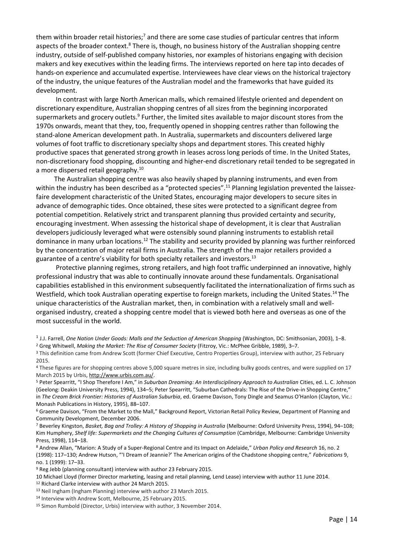them within broader retail histories;<sup>7</sup> and there are some case studies of particular centres that inform aspects of the broader context.<sup>8</sup> There is, though, no business history of the Australian shopping centre industry, outside of self-published company histories, nor examples of historians engaging with decision makers and key executives within the leading firms. The interviews reported on here tap into decades of hands-on experience and accumulated expertise. Interviewees have clear views on the historical trajectory of the industry, the unique features of the Australian model and the frameworks that have guided its development.

 In contrast with large North American malls, which remained lifestyle oriented and dependent on discretionary expenditure, Australian shopping centres of all sizes from the beginning incorporated supermarkets and grocery outlets.<sup>9</sup> Further, the limited sites available to major discount stores from the 1970s onwards, meant that they, too, frequently opened in shopping centres rather than following the stand-alone American development path. In Australia, supermarkets and discounters delivered large volumes of foot traffic to discretionary specialty shops and department stores. This created highly productive spaces that generated strong growth in leases across long periods of time. In the United States, non-discretionary food shopping, discounting and higher-end discretionary retail tended to be segregated in a more dispersed retail geography.<sup>10</sup>

 The Australian shopping centre was also heavily shaped by planning instruments, and even from within the industry has been described as a "protected species".<sup>11</sup> Planning legislation prevented the laissezfaire development characteristic of the United States, encouraging major developers to secure sites in advance of demographic tides. Once obtained, these sites were protected to a significant degree from potential competition. Relatively strict and transparent planning thus provided certainty and security, encouraging investment. When assessing the historical shape of development, it is clear that Australian developers judiciously leveraged what were ostensibly sound planning instruments to establish retail dominance in many urban locations.<sup>12</sup> The stability and security provided by planning was further reinforced by the concentration of major retail firms in Australia. The strength of the major retailers provided a guarantee of a centre's viability for both specialty retailers and investors.<sup>13</sup>

 Protective planning regimes, strong retailers, and high foot traffic underpinned an innovative, highly professional industry that was able to continually innovate around these fundamentals. Organisational capabilities established in this environment subsequently facilitated the internationalization of firms such as Westfield, which took Australian operating expertise to foreign markets, including the United States.<sup>14</sup> The unique characteristics of the Australian market, then, in combination with a relatively small and wellorganised industry, created a shopping centre model that is viewed both here and overseas as one of the most successful in the world.

1 J.J. Farrell, *One Nation Under Goods: Malls and the Seduction of American Shopping* (Washington, DC: Smithsonian, 2003), 1–8.

<sup>2</sup> Greg Whitwell, *Making the Market: The Rise of Consumer Society* (Fitzroy, Vic.: McPhee Gribble, 1989), 3–7.

<sup>3</sup> This definition came from Andrew Scott (former Chief Executive, Centro Properties Group), interview with author, 25 February 2015.

<sup>4</sup> These figures are for shopping centres above 5,000 square metres in size, including bulky goods centres, and were supplied on 17 March 2015 by Urbis, [http://www.urbis.com.au/.](http://www.urbis.com.au/)

<sup>5</sup> Peter Spearritt, "I Shop Therefore I Am," in *Suburban Dreaming: An Interdisciplinary Approach to Australian* Cities, ed. L. C. Johnson (Geelong: Deakin University Press, 1994), 134–5; Peter Spearritt, "Suburban Cathedrals: The Rise of the Drive-in Shopping Centre," in *The Cream Brick Frontier: Histories of Australian Suburbia*, ed. Graeme Davison, Tony Dingle and Seamus O'Hanlon (Clayton, Vic.: Monash Publications in History, 1995), 88–107.

<sup>6</sup> Graeme Davison, "From the Market to the Mall," Background Report, Victorian Retail Policy Review, Department of Planning and Community Development, December 2006.

<sup>7</sup> Beverley Kingston, *Basket, Bag and Trolley: A History of Shopping in Australia* (Melbourne: Oxford University Press, 1994), 94–108; Kim Humphery, *Shelf life: Supermarkets and the Changing Cultures of Consumption* (Cambridge, Melbourne: Cambridge University Press, 1998), 114–18.

<sup>8</sup> Andrew Allan, "Marion: A Study of a Super-Regional Centre and its Impact on Adelaide," *Urban Policy and Research* 16, no. 2 (1998): 117–130; Andrew Hutson, "'I Dream of Jeannie?' The American origins of the Chadstone shopping centre," *Fabrications* 9, no. 1 (1999): 17–33.

<sup>9</sup> Reg Jebb (planning consultant) interview with author 23 February 2015.

10 Michael Lloyd (former Director marketing, leasing and retail planning, Lend Lease) interview with author 11 June 2014. <sup>12</sup> Richard Clarke interview with author 24 March 2015.

<sup>13</sup> Neil Ingham (Ingham Planning) interview with author 23 March 2015.

14 Interview with Andrew Scott, Melbourne, 25 February 2015.

<sup>15</sup> Simon Rumbold (Director, Urbis) interview with author, 3 November 2014.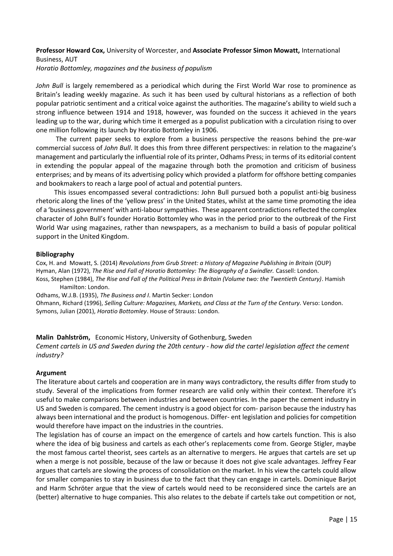## **Professor Howard Cox,** University of Worcester, and **Associate Professor Simon Mowatt,** International Business, AUT

*Horatio Bottomley, magazines and the business of populism*

*John Bull* is largely remembered as a periodical which during the First World War rose to prominence as Britain's leading weekly magazine. As such it has been used by cultural historians as a reflection of both popular patriotic sentiment and a critical voice against the authorities. The magazine's ability to wield such a strong influence between 1914 and 1918, however, was founded on the success it achieved in the years leading up to the war, during which time it emerged as a populist publication with a circulation rising to over one million following its launch by Horatio Bottomley in 1906.

 The current paper seeks to explore from a business perspective the reasons behind the pre-war commercial success of *John Bull*. It does this from three different perspectives: in relation to the magazine's management and particularly the influential role of its printer, Odhams Press; in terms of its editorial content in extending the popular appeal of the magazine through both the promotion and criticism of business enterprises; and by means of its advertising policy which provided a platform for offshore betting companies and bookmakers to reach a large pool of actual and potential punters.

 This issues encompassed several contradictions: John Bull pursued both a populist anti-big business rhetoric along the lines of the 'yellow press' in the United States, whilst at the same time promoting the idea of a 'business government' with anti-labour sympathies. These apparent contradictions reflected the complex character of John Bull's founder Horatio Bottomley who was in the period prior to the outbreak of the First World War using magazines, rather than newspapers, as a mechanism to build a basis of popular political support in the United Kingdom.

#### **Bibliography**

Cox, H. and Mowatt, S. (2014) *Revolutions from Grub Street: a History of Magazine Publishing in Britain* (OUP) Hyman, Alan (1972), *The Rise and Fall of Horatio Bottomley: The Biography of a Swindler.* Cassell: London. Koss, Stephen (1984), *The Rise and Fall of the Political Press in Britain (Volume two: the Twentieth Century)*. Hamish Hamilton: London.

Odhams, W.J.B. (1935), *The Business and I*. Martin Secker: London

Ohmann, Richard (1996), *Selling Culture: Magazines, Markets, and Class at the Turn of the Century*. Verso: London. Symons, Julian (2001), *Horatio Bottomley*. House of Strauss: London.

## **Malin Dahlström,** Economic History, University of Gothenburg, Sweden

*Cement cartels in US and Sweden during the 20th century - how did the cartel legislation affect the cement industry?*

## **Argument**

The literature about cartels and cooperation are in many ways contradictory, the results differ from study to study. Several of the implications from former research are valid only within their context. Therefore it's useful to make comparisons between industries and between countries. In the paper the cement industry in US and Sweden is compared. The cement industry is a good object for com- parison because the industry has always been international and the product is homogenous. Differ- ent legislation and policies for competition would therefore have impact on the industries in the countries.

The legislation has of course an impact on the emergence of cartels and how cartels function. This is also where the idea of big business and cartels as each other's replacements come from. George Stigler, maybe the most famous cartel theorist, sees cartels as an alternative to mergers. He argues that cartels are set up when a merge is not possible, because of the law or because it does not give scale advantages. Jeffrey Fear argues that cartels are slowing the process of consolidation on the market. In his view the cartels could allow for smaller companies to stay in business due to the fact that they can engage in cartels. Dominique Barjot and Harm Schröter argue that the view of cartels would need to be reconsidered since the cartels are an (better) alternative to huge companies. This also relates to the debate if cartels take out competition or not,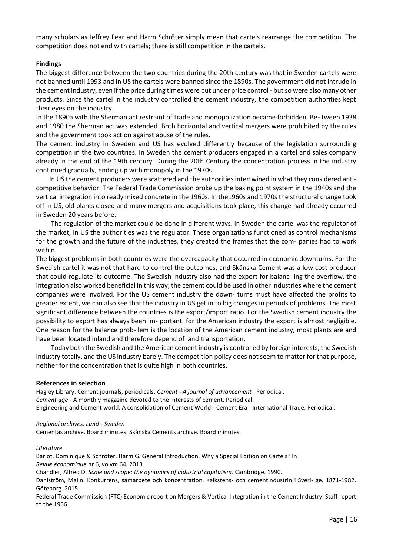many scholars as Jeffrey Fear and Harm Schröter simply mean that cartels rearrange the competition. The competition does not end with cartels; there is still competition in the cartels.

## **Findings**

The biggest difference between the two countries during the 20th century was that in Sweden cartels were not banned until 1993 and in US the cartels were banned since the 1890s. The government did not intrude in the cement industry, even if the price during times were put under price control - but so were also many other products. Since the cartel in the industry controlled the cement industry, the competition authorities kept their eyes on the industry.

In the 1890a with the Sherman act restraint of trade and monopolization became forbidden. Be- tween 1938 and 1980 the Sherman act was extended. Both horizontal and vertical mergers were prohibited by the rules and the government took action against abuse of the rules.

The cement industry in Sweden and US has evolved differently because of the legislation surrounding competition in the two countries. In Sweden the cement producers engaged in a cartel and sales company already in the end of the 19th century. During the 20th Century the concentration process in the industry continued gradually, ending up with monopoly in the 1970s.

 In US the cement producers were scattered and the authorities intertwined in what they considered anticompetitive behavior. The Federal Trade Commission broke up the basing point system in the 1940s and the vertical integration into ready mixed concrete in the 1960s. In the1960s and 1970s the structural change took off in US, old plants closed and many mergers and acquisitions took place, this change had already occurred in Sweden 20 years before.

 The regulation of the market could be done in different ways. In Sweden the cartel was the regulator of the market, in US the authorities was the regulator. These organizations functioned as control mechanisms for the growth and the future of the industries, they created the frames that the com- panies had to work within.

The biggest problems in both countries were the overcapacity that occurred in economic downturns. For the Swedish cartel it was not that hard to control the outcomes, and Skånska Cement was a low cost producer that could regulate its outcome. The Swedish industry also had the export for balanc- ing the overflow, the integration also worked beneficial in this way; the cement could be used in other industries where the cement companies were involved. For the US cement industry the down- turns must have affected the profits to greater extent, we can also see that the industry in US get in to big changes in periods of problems. The most significant difference between the countries is the export/import ratio. For the Swedish cement industry the possibility to export has always been im- portant, for the American industry the export is almost negligible. One reason for the balance prob- lem is the location of the American cement industry, most plants are and have been located inland and therefore depend of land transportation.

 Today both the Swedish and the American cement industry is controlled by foreign interests, the Swedish industry totally, and the US industry barely. The competition policy does not seem to matter for that purpose, neither for the concentration that is quite high in both countries.

#### **References in selection**

Hagley Library: Cement journals, periodicals: *Cement - A journal of advancement* . Periodical. *Cement age* - A monthly magazine devoted to the interests of cement. Periodical. Engineering and Cement world. A consolidation of Cement World - Cement Era - International Trade. Periodical.

#### *Regional archives, Lund - Sweden*

Cementas archive. Board minutes. Skånska Cements archive. Board minutes.

#### *Literature*

Barjot, Dominique & Schröter, Harm G. General Introduction. Why a Special Edition on Cartels? In *Revue économique* nr 6, volym 64, 2013.

Chandler, Alfred D. *Scale and scope: the dynamics of industrial capitalism*. Cambridge. 1990.

Dahlström, Malin. Konkurrens, samarbete och koncentration. Kalkstens- och cementindustrin i Sveri- ge. 1871-1982. Göteborg. 2015.

Federal Trade Commission (FTC) Economic report on Mergers & Vertical Integration in the Cement Industry. Staff report to the 1966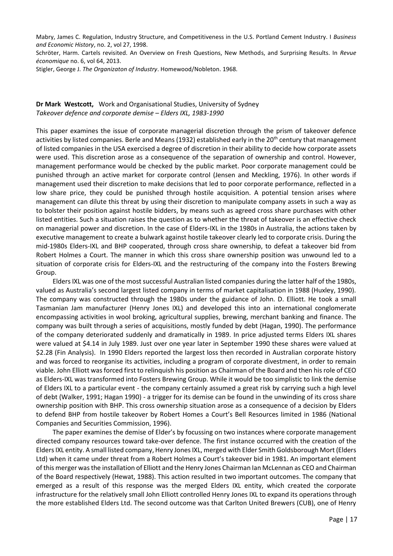Mabry, James C. Regulation, Industry Structure, and Competitiveness in the U.S. Portland Cement Industry. I *Business and Economic History*, no. 2, vol 27, 1998.

Schröter, Harm. Cartels revisited. An Overview on Fresh Questions, New Methods, and Surprising Results. In *Revue économique* no. 6, vol 64, 2013.

Stigler, George J. *The Organizaton of Industry*. Homewood/Nobleton. 1968.

### **Dr Mark Westcott,** Work and Organisational Studies, University of Sydney *Takeover defence and corporate demise – Elders IXL, 1983-1990*

This paper examines the issue of corporate managerial discretion through the prism of takeover defence activities by listed companies. Berle and Means (1932) established early in the 20<sup>th</sup> century that management of listed companies in the USA exercised a degree of discretion in their ability to decide how corporate assets were used. This discretion arose as a consequence of the separation of ownership and control. However, management performance would be checked by the public market. Poor corporate management could be punished through an active market for corporate control (Jensen and Meckling, 1976). In other words if management used their discretion to make decisions that led to poor corporate performance, reflected in a low share price, they could be punished through hostile acquisition. A potential tension arises where management can dilute this threat by using their discretion to manipulate company assets in such a way as to bolster their position against hostile bidders, by means such as agreed cross share purchases with other listed entities. Such a situation raises the question as to whether the threat of takeover is an effective check on managerial power and discretion. In the case of Elders-IXL in the 1980s in Australia, the actions taken by executive management to create a bulwark against hostile takeover clearly led to corporate crisis. During the mid-1980s Elders-IXL and BHP cooperated, through cross share ownership, to defeat a takeover bid from Robert Holmes a Court. The manner in which this cross share ownership position was unwound led to a situation of corporate crisis for Elders-IXL and the restructuring of the company into the Fosters Brewing Group.

 Elders IXL was one of the most successful Australian listed companies during the latter half of the 1980s, valued as Australia's second largest listed company in terms of market capitalisation in 1988 (Huxley, 1990). The company was constructed through the 1980s under the guidance of John. D. Elliott. He took a small Tasmanian Jam manufacturer (Henry Jones IXL) and developed this into an international conglomerate encompassing activities in wool broking, agricultural supplies, brewing, merchant banking and finance. The company was built through a series of acquisitions, mostly funded by debt (Hagan, 1990). The performance of the company deteriorated suddenly and dramatically in 1989. In price adjusted terms Elders IXL shares were valued at \$4.14 in July 1989. Just over one year later in September 1990 these shares were valued at \$2.28 (Fin Analysis). In 1990 Elders reported the largest loss then recorded in Australian corporate history and was forced to reorganise its activities, including a program of corporate divestment, in order to remain viable. John Elliott was forced first to relinquish his position as Chairman of the Board and then his role of CEO as Elders-IXL was transformed into Fosters Brewing Group. While it would be too simplistic to link the demise of Elders IXL to a particular event - the company certainly assumed a great risk by carrying such a high level of debt (Walker, 1991; Hagan 1990) - a trigger for its demise can be found in the unwinding of its cross share ownership position with BHP. This cross ownership situation arose as a consequence of a decision by Elders to defend BHP from hostile takeover by Robert Homes a Court's Bell Resources limited in 1986 (National Companies and Securities Commission, 1996).

 The paper examines the demise of Elder's by focussing on two instances where corporate management directed company resources toward take-over defence. The first instance occurred with the creation of the Elders IXL entity. A small listed company, Henry Jones IXL, merged with Elder Smith Goldsborough Mort (Elders Ltd) when it came under threat from a Robert Holmes a Court's takeover bid in 1981. An important element of this merger was the installation of Elliott and the Henry Jones Chairman Ian McLennan as CEO and Chairman of the Board respectively (Hewat, 1988). This action resulted in two important outcomes. The company that emerged as a result of this response was the merged Elders IXL entity, which created the corporate infrastructure for the relatively small John Elliott controlled Henry Jones IXL to expand its operations through the more established Elders Ltd. The second outcome was that Carlton United Brewers (CUB), one of Henry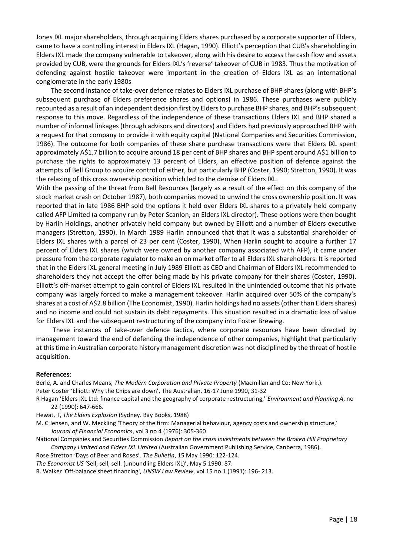Jones IXL major shareholders, through acquiring Elders shares purchased by a corporate supporter of Elders, came to have a controlling interest in Elders IXL (Hagan, 1990). Elliott's perception that CUB's shareholding in Elders IXL made the company vulnerable to takeover, along with his desire to access the cash flow and assets provided by CUB, were the grounds for Elders IXL's 'reverse' takeover of CUB in 1983. Thus the motivation of defending against hostile takeover were important in the creation of Elders IXL as an international conglomerate in the early 1980s

 The second instance of take-over defence relates to Elders IXL purchase of BHP shares (along with BHP's subsequent purchase of Elders preference shares and options) in 1986. These purchases were publicly recounted as a result of an independent decision first by Elders to purchase BHP shares, and BHP's subsequent response to this move. Regardless of the independence of these transactions Elders IXL and BHP shared a number of informal linkages (through advisors and directors) and Elders had previously approached BHP with a request for that company to provide it with equity capital (National Companies and Securities Commission, 1986). The outcome for both companies of these share purchase transactions were that Elders IXL spent approximately A\$1.7 billion to acquire around 18 per cent of BHP shares and BHP spent around A\$1 billion to purchase the rights to approximately 13 percent of Elders, an effective position of defence against the attempts of Bell Group to acquire control of either, but particularly BHP (Coster, 1990; Stretton, 1990). It was the relaxing of this cross ownership position which led to the demise of Elders IXL.

With the passing of the threat from Bell Resources (largely as a result of the effect on this company of the stock market crash on October 1987), both companies moved to unwind the cross ownership position. It was reported that in late 1986 BHP sold the options it held over Elders IXL shares to a privately held company called AFP Limited (a company run by Peter Scanlon, an Elders IXL director). These options were then bought by Harlin Holdings, another privately held company but owned by Elliott and a number of Elders executive managers (Stretton, 1990). In March 1989 Harlin announced that that it was a substantial shareholder of Elders IXL shares with a parcel of 23 per cent (Coster, 1990). When Harlin sought to acquire a further 17 percent of Elders IXL shares (which were owned by another company associated with AFP), it came under pressure from the corporate regulator to make an on market offer to all Elders IXL shareholders. It is reported that in the Elders IXL general meeting in July 1989 Elliott as CEO and Chairman of Elders IXL recommended to shareholders they not accept the offer being made by his private company for their shares (Coster, 1990). Elliott's off-market attempt to gain control of Elders IXL resulted in the unintended outcome that his private company was largely forced to make a management takeover. Harlin acquired over 50% of the company's shares at a cost of A\$2.8 billion (The Economist, 1990). Harlin holdings had no assets (other than Elders shares) and no income and could not sustain its debt repayments. This situation resulted in a dramatic loss of value for Elders IXL and the subsequent restructuring of the company into Foster Brewing.

 These instances of take-over defence tactics, where corporate resources have been directed by management toward the end of defending the independence of other companies, highlight that particularly at this time in Australian corporate history management discretion was not disciplined by the threat of hostile acquisition.

#### **References**:

Berle, A. and Charles Means, *The Modern Corporation and Private Property* (Macmillan and Co: New York.).

Peter Coster 'Elliott: Why the Chips are down', The Australian, 16-17 June 1990, 31-32

R Hagan 'Elders IXL Ltd: finance capital and the geography of corporate restructuring,' *Environment and Planning A*, no 22 (1990): 647-666.

Hewat, T, *The Elders Explosion* (Sydney. Bay Books, 1988)

M. C Jensen, and W. Meckling 'Theory of the firm: Managerial behaviour, agency costs and ownership structure,' *Journal of Financial Economics*, vol 3 no 4 (1976): 305-360

National Companies and Securities Commission *Report on the cross investments between the Broken Hill Proprietary Company Limited and Elders IXL Limited* (Australian Government Publishing Service, Canberra, 1986).

Rose Stretton 'Days of Beer and Roses'. *The Bulletin*, 15 May 1990: 122-124.

*The Economist US* 'Sell, sell, sell. (unbundling Elders IXL)', May 5 1990: 87.

R. Walker 'Off-balance sheet financing', *UNSW Law Review*, vol 15 no 1 (1991): 196- 213.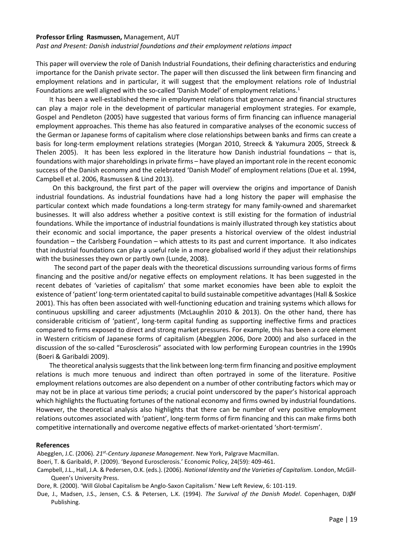#### **Professor Erling Rasmussen,** Management, AUT

*Past and Present: Danish industrial foundations and their employment relations impact*

This paper will overview the role of Danish Industrial Foundations, their defining characteristics and enduring importance for the Danish private sector. The paper will then discussed the link between firm financing and employment relations and in particular, it will suggest that the employment relations role of Industrial Foundations are well aligned with the so-called 'Danish Model' of employment relations.<sup>1</sup>

 It has been a well-established theme in employment relations that governance and financial structures can play a major role in the development of particular managerial employment strategies. For example, Gospel and Pendleton (2005) have suggested that various forms of firm financing can influence managerial employment approaches. This theme has also featured in comparative analyses of the economic success of the German or Japanese forms of capitalism where close relationships between banks and firms can create a basis for long-term employment relations strategies (Morgan 2010, Streeck & Yakumura 2005, Streeck & Thelen 2005). It has been less explored in the literature how Danish industrial foundations – that is, foundations with major shareholdings in private firms – have played an important role in the recent economic success of the Danish economy and the celebrated 'Danish Model' of employment relations (Due et al. 1994, Campbell et al. 2006, Rasmussen & Lind 2013).

 On this background, the first part of the paper will overview the origins and importance of Danish industrial foundations. As industrial foundations have had a long history the paper will emphasise the particular context which made foundations a long-term strategy for many family-owned and sharemarket businesses. It will also address whether a positive context is still existing for the formation of industrial foundations. While the importance of industrial foundations is mainly illustrated through key statistics about their economic and social importance, the paper presents a historical overview of the oldest industrial foundation – the Carlsberg Foundation – which attests to its past and current importance. It also indicates that industrial foundations can play a useful role in a more globalised world if they adjust their relationships with the businesses they own or partly own (Lunde, 2008).

 The second part of the paper deals with the theoretical discussions surrounding various forms of firms financing and the positive and/or negative effects on employment relations. It has been suggested in the recent debates of 'varieties of capitalism' that some market economies have been able to exploit the existence of 'patient' long-term orientated capital to build sustainable competitive advantages (Hall & Soskice 2001). This has often been associated with well-functioning education and training systems which allows for continuous upskilling and career adjustments (McLaughlin 2010 & 2013). On the other hand, there has considerable criticism of 'patient', long-term capital funding as supporting ineffective firms and practices compared to firms exposed to direct and strong market pressures. For example, this has been a core element in Western criticism of Japanese forms of capitalism (Abegglen 2006, Dore 2000) and also surfaced in the discussion of the so-called "Eurosclerosis" associated with low performing European countries in the 1990s (Boeri & Garibaldi 2009).

 The theoretical analysis suggests that the link between long-term firm financing and positive employment relations is much more tenuous and indirect than often portrayed in some of the literature. Positive employment relations outcomes are also dependent on a number of other contributing factors which may or may not be in place at various time periods; a crucial point underscored by the paper's historical approach which highlights the fluctuating fortunes of the national economy and firms owned by industrial foundations. However, the theoretical analysis also highlights that there can be number of very positive employment relations outcomes associated with 'patient', long-term forms of firm financing and this can make firms both competitive internationally and overcome negative effects of market-orientated 'short-termism'.

#### **References**

Abegglen, J.C. (2006). 21<sup>st</sup>-Century Japanese Management. New York, Palgrave Macmillan.

Boeri, T. & Garibaldi, P. (2009). 'Beyond Eurosclerosis.' Economic Policy, 24(59): 409-461.

Campbell, J.L., Hall, J.A. & Pedersen, O.K. (eds.). (2006). *National Identity and the Varieties of Capitalism*. London, McGill-Queen's University Press.

Dore, R. (2000). 'Will Global Capitalism be Anglo-Saxon Capitalism.' New Left Review, 6: 101-119.

Due, J., Madsen, J.S., Jensen, C.S. & Petersen, L.K. (1994). *The Survival of the Danish Model*. Copenhagen, DJØF Publishing.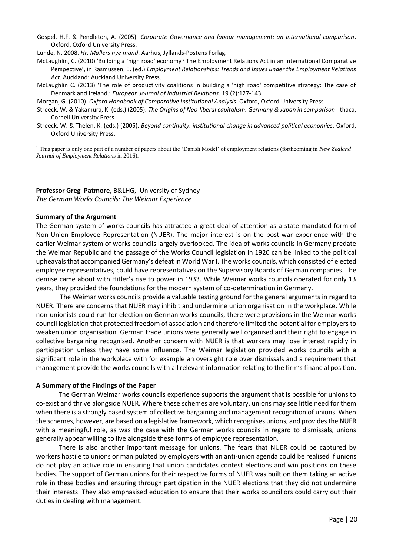Gospel, H.F. & Pendleton, A. (2005). *Corporate Governance and labour management: an international comparison*. Oxford, Oxford University Press.

Lunde, N. 2008. *Hr. Møllers nye mand*. Aarhus, Jyllands-Postens Forlag.

- McLaughlin, C. (2010) 'Building a `high road' economy? The Employment Relations Act in an International Comparative Perspective', in Rasmussen, E. (ed.) *Employment Relationships: Trends and Issues under the Employment Relations Act*. Auckland: Auckland University Press.
- McLaughlin C. (2013) 'The role of productivity coalitions in building a 'high road' competitive strategy: The case of Denmark and Ireland.' *European Journal of Industrial Relations,* 19 (2):127-143*.*
- Morgan, G. (2010). *Oxford Handbook of Comparative Institutional Analysis*. Oxford, Oxford University Press
- Streeck, W. & Yakamura, K. (eds.) (2005). *The Origins of Neo-liberal capitalism: Germany & Japan in comparison*. Ithaca, Cornell University Press.
- Streeck, W. & Thelen, K. (eds.) (2005). *Beyond continuity: institutional change in advanced political economies*. Oxford, Oxford University Press.

<sup>1</sup> This paper is only one part of a number of papers about the 'Danish Model' of employment relations (forthcoming in *New Zealand Journal of Employment Relations* in 2016).

## **Professor Greg Patmore,** B&LHG, University of Sydney

*The German Works Councils: The Weimar Experience*

#### **Summary of the Argument**

The German system of works councils has attracted a great deal of attention as a state mandated form of Non-Union Employee Representation (NUER). The major interest is on the post-war experience with the earlier Weimar system of works councils largely overlooked. The idea of works councils in Germany predate the Weimar Republic and the passage of the Works Council legislation in 1920 can be linked to the political upheavals that accompanied Germany's defeat in World War I. The works councils, which consisted of elected employee representatives, could have representatives on the Supervisory Boards of German companies. The demise came about with Hitler's rise to power in 1933. While Weimar works councils operated for only 13 years, they provided the foundations for the modern system of co-determination in Germany.

The Weimar works councils provide a valuable testing ground for the general arguments in regard to NUER. There are concerns that NUER may inhibit and undermine union organisation in the workplace. While non-unionists could run for election on German works councils, there were provisions in the Weimar works council legislation that protected freedom of association and therefore limited the potential for employers to weaken union organisation. German trade unions were generally well organised and their right to engage in collective bargaining recognised. Another concern with NUER is that workers may lose interest rapidly in participation unless they have some influence. The Weimar legislation provided works councils with a significant role in the workplace with for example an oversight role over dismissals and a requirement that management provide the works councils with all relevant information relating to the firm's financial position.

#### **A Summary of the Findings of the Paper**

The German Weimar works councils experience supports the argument that is possible for unions to co-exist and thrive alongside NUER. Where these schemes are voluntary, unions may see little need for them when there is a strongly based system of collective bargaining and management recognition of unions. When the schemes, however, are based on a legislative framework, which recognises unions, and provides the NUER with a meaningful role, as was the case with the German works councils in regard to dismissals, unions generally appear willing to live alongside these forms of employee representation.

There is also another important message for unions. The fears that NUER could be captured by workers hostile to unions or manipulated by employers with an anti-union agenda could be realised if unions do not play an active role in ensuring that union candidates contest elections and win positions on these bodies. The support of German unions for their respective forms of NUER was built on them taking an active role in these bodies and ensuring through participation in the NUER elections that they did not undermine their interests. They also emphasised education to ensure that their works councillors could carry out their duties in dealing with management.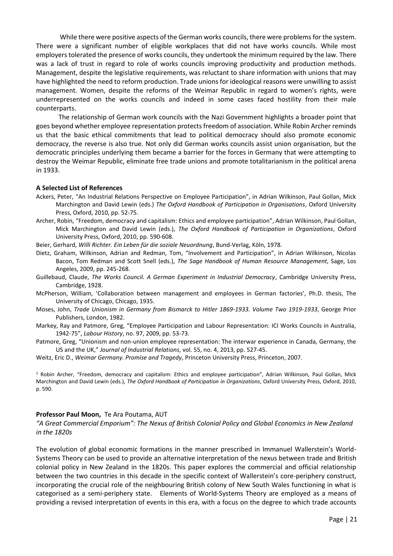While there were positive aspects of the German works councils, there were problems for the system. There were a significant number of eligible workplaces that did not have works councils. While most employers tolerated the presence of works councils, they undertook the minimum required by the law. There was a lack of trust in regard to role of works councils improving productivity and production methods. Management, despite the legislative requirements, was reluctant to share information with unions that may have highlighted the need to reform production. Trade unions for ideological reasons were unwilling to assist management. Women, despite the reforms of the Weimar Republic in regard to women's rights, were underrepresented on the works councils and indeed in some cases faced hostility from their male counterparts.

The relationship of German work councils with the Nazi Government highlights a broader point that goes beyond whether employee representation protects freedom of association. While Robin Archer reminds us that the basic ethical commitments that lead to political democracy should also promote economic democracy, the reverse is also true. Not only did German works councils assist union organisation, but the democratic principles underlying them became a barrier for the forces in Germany that were attempting to destroy the Weimar Republic, eliminate free trade unions and promote totalitarianism in the political arena in 1933.

#### **A Selected List of References**

- Ackers, Peter, "An Industrial Relations Perspective on Employee Participation", in Adrian Wilkinson, Paul Gollan, Mick Marchington and David Lewin (eds.) *The Oxford Handbook of Participation in Organisations*, Oxford University Press, Oxford, 2010, pp. 52-75.
- Archer, Robin, "Freedom, democracy and capitalism: Ethics and employee participation", Adrian Wilkinson, Paul Gollan, Mick Marchington and David Lewin (eds.), *The Oxford Handbook of Participation in Organizations*, Oxford University Press, Oxford, 2010, pp. 590-608.
- Beier, Gerhard, *Willi Richter. Ein Leben für die soziale Neuordnung*, Bund-Verlag, Köln, 1978.

Dietz, Graham, Wilkinson, Adrian and Redman, Tom, "Involvement and Participation", in Adrian Wilkinson, Nicolas Bacon, Tom Redman and Scott Snell (eds.), *The Sage Handbook of Human Resource Management*, Sage, Los Angeles, 2009, pp. 245-268.

- Guillebaud, Claude, *The Works Council. A German Experiment in Industrial Democracy*, Cambridge University Press, Cambridge, 1928.
- McPherson, William, 'Collaboration between management and employees in German factories', Ph.D. thesis, The University of Chicago, Chicago, 1935.
- Moses, John, *Trade Unionism in Germany from Bismarck to Hitler 1869-1933. Volume Two 1919-1933*, George Prior Publishers, London, 1982.
- Markey, Ray and Patmore, Greg, "Employee Participation and Labour Representation: ICI Works Councils in Australia, 1942-75", *Labour History*, no. 97, 2009, pp. 53-73.
- Patmore, Greg, "Unionism and non-union employee representation: The interwar experience in Canada, Germany, the US and the UK," *Journal of Industrial Relations*, vol. 55, no. 4, 2013, pp. 527-45.
- Weitz, Eric D., *Weimar Germany. Promise and Tragedy*, Princeton University Press, Princeton, 2007.

<sup>1</sup> Robin Archer, "Freedom, democracy and capitalism: Ethics and employee participation", Adrian Wilkinson, Paul Gollan, Mick Marchington and David Lewin (eds.), *The Oxford Handbook of Participation in Organizations*, Oxford University Press, Oxford, 2010, p. 590.

#### **Professor Paul Moon,** Te Ara Poutama, AUT

*"A Great Commercial Emporium": The Nexus of British Colonial Policy and Global Economics in New Zealand in the 1820s*

The evolution of global economic formations in the manner prescribed in Immanuel Wallerstein's World-Systems Theory can be used to provide an alternative interpretation of the nexus between trade and British colonial policy in New Zealand in the 1820s. This paper explores the commercial and official relationship between the two countries in this decade in the specific context of Wallerstein's core-periphery construct, incorporating the crucial role of the neighbouring British colony of New South Wales functioning in what is categorised as a semi-periphery state. Elements of World-Systems Theory are employed as a means of providing a revised interpretation of events in this era, with a focus on the degree to which trade accounts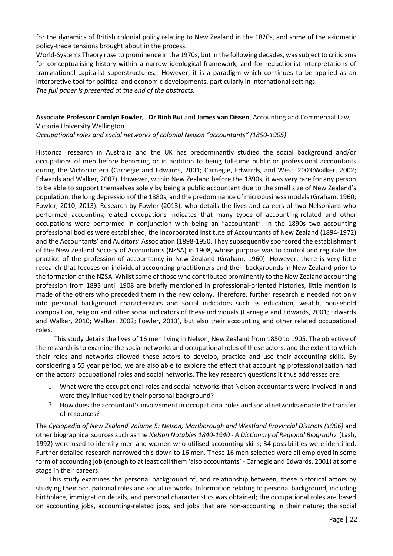for the dynamics of British colonial policy relating to New Zealand in the 1820s, and some of the axiomatic policy-trade tensions brought about in the process.

World-Systems Theory rose to prominence in the 1970s, but in the following decades, was subject to criticisms for conceptualising history within a narrow ideological framework, and for reductionist interpretations of transnational capitalist superstructures. However, it is a paradigm which continues to be applied as an interpretive tool for political and economic developments, particularly in international settings. *The full paper is presented at the end of the abstracts.*

**Associate Professor Carolyn Fowler, Dr Binh Bui** and **James van Dissen**, Accounting and Commercial Law, Victoria University Wellington

*Occupational roles and social networks of colonial Nelson "accountants" (1850-1905)*

Historical research in Australia and the UK has predominantly studied the social background and/or occupations of men before becoming or in addition to being full-time public or professional accountants during the Victorian era (Carnegie and Edwards, 2001; Carnegie, Edwards, and West, 2003;Walker, 2002; Edwards and Walker, 2007). However, within New Zealand before the 1890s, it was very rare for any person to be able to support themselves solely by being a public accountant due to the small size of New Zealand's population, the long depression of the 1880s, and the predominance of microbusiness models (Graham, 1960; Fowler, 2010, 2013). Research by Fowler (2013), who details the lives and careers of two Nelsonians who performed accounting-related occupations indicates that many types of accounting-related and other occupations were performed in conjunction with being an "accountant". In the 1890s two accounting professional bodies were established; the Incorporated Institute of Accountants of New Zealand (1894-1972) and the Accountants' and Auditors' Association (1898-1950. They subsequently sponsored the establishment of the New Zealand Society of Accountants (NZSA) in 1908, whose purpose was to control and regulate the practice of the profession of accountancy in New Zealand (Graham, 1960). However, there is very little research that focuses on individual accounting practitioners and their backgrounds in New Zealand prior to the formation of the NZSA. Whilst some of those who contributed prominently to the New Zealand accounting profession from 1893 until 1908 are briefly mentioned in professional-oriented histories, little mention is made of the others who preceded them in the new colony. Therefore, further research is needed not only into personal background characteristics and social indicators such as education, wealth, household composition, religion and other social indicators of these individuals (Carnegie and Edwards, 2001; Edwards and Walker, 2010; Walker, 2002; Fowler, 2013), but also their accounting and other related occupational roles.

 This study details the lives of 16 men living in Nelson, New Zealand from 1850 to 1905. The objective of the research is to examine the social networks and occupational roles of these actors, and the extent to which their roles and networks allowed these actors to develop, practice and use their accounting skills. By considering a 55 year period, we are also able to explore the effect that accounting professionalization had on the actors' occupational roles and social networks. The key research questions it thus addresses are:

- 1. What were the occupational roles and social networks that Nelson accountants were involved in and were they influenced by their personal background?
- 2. How does the accountant's involvement in occupational roles and social networks enable the transfer of resources?

The *Cyclopedia of New Zealand Volume 5: Nelson, Marlborough and Westland Provincial Districts (1906)* and other biographical sources such as the *Nelson Notables 1840-1940 - A Dictionary of Regional Biography* (Lash, 1992) were used to identify men and women who utilised accounting skills; 34 possibilities were identified. Further detailed research narrowed this down to 16 men. These 16 men selected were all employed in some form of accounting job (enough to at least call them 'also accountants' - Carnegie and Edwards, 2001) at some stage in their careers.

 This study examines the personal background of, and relationship between, these historical actors by studying their occupational roles and social networks. Information relating to personal background, including birthplace, immigration details, and personal characteristics was obtained; the occupational roles are based on accounting jobs, accounting-related jobs, and jobs that are non-accounting in their nature; the social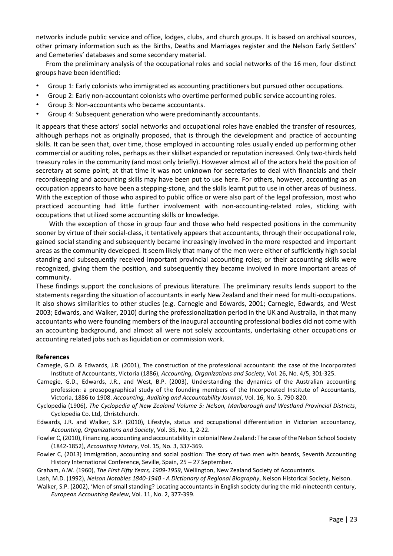networks include public service and office, lodges, clubs, and church groups. It is based on archival sources, other primary information such as the Births, Deaths and Marriages register and the Nelson Early Settlers' and Cemeteries' databases and some secondary material.

 From the preliminary analysis of the occupational roles and social networks of the 16 men, four distinct groups have been identified:

- Group 1: Early colonists who immigrated as accounting practitioners but pursued other occupations.
- Group 2: Early non-accountant colonists who overtime performed public service accounting roles.
- Group 3: Non-accountants who became accountants.
- Group 4: Subsequent generation who were predominantly accountants.

It appears that these actors' social networks and occupational roles have enabled the transfer of resources, although perhaps not as originally proposed, that is through the development and practice of accounting skills. It can be seen that, over time, those employed in accounting roles usually ended up performing other commercial or auditing roles, perhaps as their skillset expanded or reputation increased. Only two-thirds held treasury roles in the community (and most only briefly). However almost all of the actors held the position of secretary at some point; at that time it was not unknown for secretaries to deal with financials and their recordkeeping and accounting skills may have been put to use here. For others, however, accounting as an occupation appears to have been a stepping-stone, and the skills learnt put to use in other areas of business. With the exception of those who aspired to public office or were also part of the legal profession, most who practiced accounting had little further involvement with non-accounting-related roles, sticking with occupations that utilized some accounting skills or knowledge.

 With the exception of those in group four and those who held respected positions in the community sooner by virtue of their social-class, it tentatively appears that accountants, through their occupational role, gained social standing and subsequently became increasingly involved in the more respected and important areas as the community developed. It seem likely that many of the men were either of sufficiently high social standing and subsequently received important provincial accounting roles; or their accounting skills were recognized, giving them the position, and subsequently they became involved in more important areas of community.

These findings support the conclusions of previous literature. The preliminary results lends support to the statements regarding the situation of accountants in early New Zealand and their need for multi-occupations. It also shows similarities to other studies (e.g. Carnegie and Edwards, 2001; Carnegie, Edwards, and West 2003; Edwards, and Walker, 2010) during the professionalization period in the UK and Australia, in that many accountants who were founding members of the inaugural accounting professional bodies did not come with an accounting background, and almost all were not solely accountants, undertaking other occupations or accounting related jobs such as liquidation or commission work.

#### **References**

- Carnegie, G.D. & Edwards, J.R. (2001), The construction of the professional accountant: the case of the Incorporated Institute of Accountants, Victoria (1886), *Accounting, Organizations and Society*, Vol. 26, No. 4/5, 301-325.
- Carnegie, G.D., Edwards, J.R., and West, B.P. (2003), Understanding the dynamics of the Australian accounting profession: a prosopographical study of the founding members of the Incorporated Institute of Accountants, Victoria, 1886 to 1908. *Accounting, Auditing and Accountability Journal*, Vol. 16, No. 5, 790-820.
- Cyclopedia (1906), *The Cyclopedia of New Zealand Volume 5: Nelson, Marlborough and Westland Provincial Districts*, Cyclopedia Co. Ltd, Christchurch.
- Edwards, J.R. and Walker, S.P. (2010), Lifestyle, status and occupational differentiation in Victorian accountancy, *Accounting, Organizations and Society*, Vol. 35, No. 1, 2-22.
- Fowler C, (2010), Financing, accounting and accountability in colonial New Zealand: The case of the Nelson School Society (1842-1852), *Accounting History*, Vol. 15, No. 3, 337-369.
- Fowler C, (2013) Immigration, accounting and social position: The story of two men with beards, Seventh Accounting History International Conference, Seville, Spain, 25 – 27 September.

Graham, A.W. (1960), *The First Fifty Years, 1909-1959*, Wellington, New Zealand Society of Accountants.

Lash, M.D. (1992), *Nelson Notables 1840-1940 - A Dictionary of Regional Biography*, Nelson Historical Society, Nelson.

Walker, S.P. (2002), 'Men of small standing? Locating accountants in English society during the mid-nineteenth century, *European Accounting Review*, Vol. 11, No. 2, 377-399.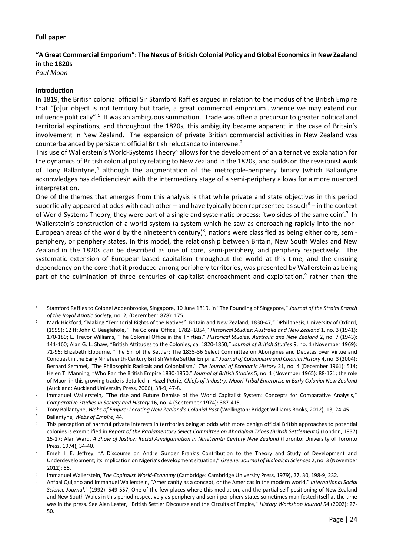## **Full paper**

## **"A Great Commercial Emporium": The Nexus of British Colonial Policy and Global Economics in New Zealand in the 1820s**

*Paul Moon*

1

## **Introduction**

In 1819, the British colonial official Sir Stamford Raffles argued in relation to the modus of the British Empire that "[o]ur object is not territory but trade, a great commercial emporium…whence we may extend our influence politically".<sup>1</sup> It was an ambiguous summation. Trade was often a precursor to greater political and territorial aspirations, and throughout the 1820s, this ambiguity became apparent in the case of Britain's involvement in New Zealand. The expansion of private British commercial activities in New Zealand was counterbalanced by persistent official British reluctance to intervene.<sup>2</sup>

This use of Wallerstein's World-Systems Theory<sup>3</sup> allows for the development of an alternative explanation for the dynamics of British colonial policy relating to New Zealand in the 1820s, and builds on the revisionist work of Tony Ballantyne,<sup>4</sup> although the augmentation of the metropole-periphery binary (which Ballantyne acknowledges has deficiencies)<sup>5</sup> with the intermediary stage of a semi-periphery allows for a more nuanced interpretation.

One of the themes that emerges from this analysis is that while private and state objectives in this period superficially appeared at odds with each other – and have typically been represented as such $6 -$  in the context of World-Systems Theory, they were part of a single and systematic process: 'two sides of the same coin'.<sup>7</sup> In Wallerstein's construction of a world-system (a system which he saw as encroaching rapidly into the non-European areas of the world by the nineteenth century)<sup>8</sup>, nations were classified as being either core, semiperiphery, or periphery states. In this model, the relationship between Britain, New South Wales and New Zealand in the 1820s can be described as one of core, semi-periphery, and periphery respectively. The systematic extension of European-based capitalism throughout the world at this time, and the ensuing dependency on the core that it produced among periphery territories, was presented by Wallerstein as being part of the culmination of three centuries of capitalist encroachment and exploitation,<sup>9</sup> rather than the

<sup>4</sup> Tony Ballantyne, *Webs of Empire: Locating New Zealand's Colonial Past* (Wellington: Bridget Williams Books, 2012), 13, 24-45

<sup>5</sup> Ballantyne, *Webs of Empire*, 44.

<sup>1</sup> Stamford Raffles to Colonel Addenbrooke, Singapore, 10 June 1819, in "The Founding of Singapore," *Journal of the Straits Branch of the Royal Asiatic Society*, no. 2, (December 1878): 175.

<sup>2</sup> Mark Hickford, "Making "Territorial Rights of the Natives": Britain and New Zealand, 1830-47," DPhil thesis, University of Oxford, (1999): 12 ff; John C. Beaglehole, "The Colonial Office, 1782–1854," *Historical Studies: Australia and New Zealand* 1, no. 3 (1941): 170-189; E. Trevor Williams, "The Colonial Office in the Thirties," *Historical Studies: Australia and New Zealand* 2, no. 7 (1943): 141-160; Alan G. L. Shaw, "British Attitudes to the Colonies, ca. 1820-1850," *Journal of British Studies* 9, no. 1 (November 1969): 71-95; Elizabeth Elbourne, "The Sin of the Settler: The 1835-36 Select Committee on Aborigines and Debates over Virtue and Conquest in the Early Nineteenth-Century British White Settler Empire." *Journal of Colonialism and Colonial History* 4, no. 3 (2004); Bernard Semmel, "The Philosophic Radicals and Colonialism," *The Journal of Economic History* 21, no. 4 (December 1961): 514; Helen T. Manning, "Who Ran the British Empire 1830-1850," *Journal of British Studies* 5, no. 1 (November 1965): 88-121; the role of Maori in this growing trade is detailed in Hazel Petrie, *Chiefs of Industry: Maori Tribal Enterprise in Early Colonial New Zealand* (Auckland: Auckland University Press, 2006), 38-9, 47-8.

<sup>3</sup> Immanuel Wallerstein, "The rise and Future Demise of the World Capitalist System: Concepts for Comparative Analysis," *Comparative Studies in Society and History* 16, no. 4 (September 1974): 387-415.

<sup>6</sup> This perception of harmful private interests in territories being at odds with more benign official British approaches to potential colonies is exemplified in *Report of the Parliamentary Select Committee on Aboriginal Tribes (British Settlements)* (London, 1837) 15-27; Alan Ward, *A Show of Justice: Racial Amalgamation in Nineteenth Century New Zealand* (Toronto: University of Toronto Press, 1974), 34-40.

<sup>7</sup> Emeh I. E. Jeffrey, "A Discourse on Andre Gunder Frank's Contribution to the Theory and Study of Development and Underdevelopment; its Implication on Nigeria's development situation," *Greener Journal of Biological Sciences* 2, no. 3 (November  $2012$ ): 55

<sup>8</sup> Immanuel Wallerstein, *The Capitalist World-Economy* (Cambridge: Cambridge University Press, 1979), 27, 30, 198-9, 232.

<sup>9</sup> Anfbal Quijano and Immanuel Wallerstein, "Americanity as a concept, or the Americas in the modern world," *International Social Science Journal*," (1992): 549-557; One of the few places where this mediation, and the partial self-positioning of New Zealand and New South Wales in this period respectively as periphery and semi-periphery states sometimes manifested itself at the time was in the press. See Alan Lester, "British Settler Discourse and the Circuits of Empire," *History Workshop Journal* 54 (2002): 27- 50.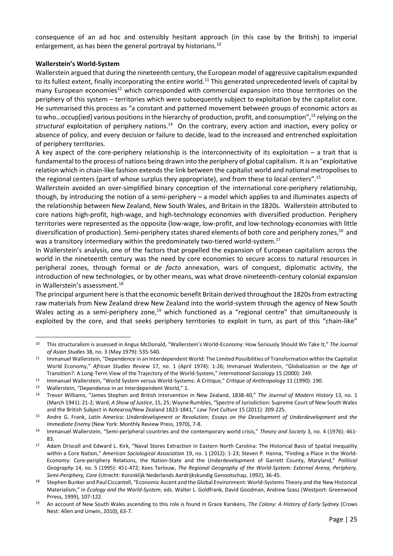consequence of an ad hoc and ostensibly hesitant approach (in this case by the British) to imperial enlargement, as has been the general portrayal by historians.<sup>10</sup>

## **Wallerstein's World-System**

Wallerstein argued that during the nineteenth century, the European model of aggressive capitalism expanded to its fullest extent, finally incorporating the entire world.<sup>11</sup> This generated unprecedented levels of capital by many European economies<sup>12</sup> which corresponded with commercial expansion into those territories on the periphery of this system – territories which were subsequently subject to exploitation by the capitalist core. He summarised this process as "a constant and patterned movement between groups of economic actors as to who...occup[ied] various positions in the hierarchy of production, profit, and consumption",<sup>13</sup> relying on the structural exploitation of periphery nations.<sup>14</sup> On the contrary, every action and inaction, every policy or absence of policy, and every decision or failure to decide, lead to the increased and entrenched exploitation of periphery territories.

A key aspect of the core-periphery relationship is the interconnectivity of its exploitation  $-$  a trait that is fundamental to the process of nations being drawn into the periphery of global capitalism. It is an "exploitative relation which in chain-like fashion extends the link between the capitalist world and national metropolises to the regional centers (part of whose surplus they appropriate), and from these to local centers".<sup>15</sup>

Wallerstein avoided an over-simplified binary conception of the international core-periphery relationship, though, by introducing the notion of a semi-periphery – a model which applies to and illuminates aspects of the relationship between New Zealand, New South Wales, and Britain in the 1820s. Wallerstein attributed to core nations high-profit, high-wage, and high-technology economies with diversified production. Periphery territories were represented as the opposite (low-wage, low-profit, and low-technology economies with little diversification of production). Semi-periphery states shared elements of both core and periphery zones,<sup>16</sup> and was a transitory intermediary within the predominately two-tiered world-system.<sup>17</sup>

In Wallerstein's analysis, one of the factors that propelled the expansion of European capitalism across the world in the nineteenth century was the need by core economies to secure access to natural resources in peripheral zones, through formal or *de facto* annexation, wars of conquest, diplomatic activity, the introduction of new technologies, or by other means, was what drove nineteenth-century colonial expansion in Wallerstein's assessment.<sup>18</sup>

The principal argument here is that the economic benefit Britain derived throughout the 1820s from extracting raw materials from New Zealand drew New Zealand into the world-system through the agency of New South Wales acting as a semi-periphery zone,<sup>19</sup> which functioned as a "regional centre" that simultaneously is exploited by the core, and that seeks periphery territories to exploit in turn, as part of this "chain-like"

<sup>10</sup> This structuralism is assessed in Angus McDonald, "Wallerstein's World-Economy: How Seriously Should We Take It," *The Journal of Asian Studies* 38, no. 3 (May 1979): 535-540.

<sup>11</sup> Immanuel Wallerstein, "Dependence in an Interdependent World: The Limited Possibilities of Transformation within the Capitalist World Economy," *African Studies Review* 17, no. 1 (April 1974): 1-26; Immanuel Wallerstein, "Globalization or the Age of Transition?: A Long-Term View of the Trajectory of the World-System," *International Sociology* 15 (2000): 249.

<sup>12</sup> Immanuel Wallerstein, "World System versus World-Systems: A Critique," *Critique of Anthropology* 11 (1990): 190.

<sup>13</sup> Wallerstein, "Dependence in an Interdependent World," 1.

<sup>14</sup> Trevor Williams, "James Stephen and British Intervention in New Zealand, 1838-40," *The Journal of Modern History* 13, no. 1 (March 1941): 21-2; Ward, *A Show of Justice*, 15, 25; Wayne Rumbles, "Spectre of Jurisdiction: Supreme Court of New South Wales and the British Subject in Aotearoa/New Zealand 1823-1841," *Law Text Culture* 15 (2011): 209-225.

<sup>15</sup> Andre G. Frank, *Latin America: Underdevelopment or Revolution; Essays on the Development of Underdevelopment and the Immediate Enemy* (New York: Monthly Review Press, 1970), 7-8.

<sup>16</sup> Immanuel Wallerstein, "Semi-peripheral countries and the contemporary world crisis," *Theory and Society* 3, no. 4 (1976): 461- 83.

<sup>17</sup> Adam Driscoll and Edward L. Kirk, "Naval Stores Extraction in Eastern North Carolina: The Historical Basis of Spatial Inequality within a Core Nation," *American Sociological Association* 19, no. 1 (2012): 1-23; Steven P. Hanna, "Finding a Place in the World-Economy: Core-periphery Relations, the Nation-State and the Underdevelopment of Garrett County, Maryland," *Political Geography* 14, no. 5 (1995): 451-472; Kees Terlouw, *The Regional Geography of the World-System: External Arena, Periphery, Semi-Periphery, Core* (Utrecht: Koninklijk Nederlands Aardrijkskundig Genootschap, 1992), 36-45.

<sup>18</sup> Stephen Bunker and Paul Ciccantell, "Economic Ascent and the Global Environment: World-Systems Theory and the New Historical Materialism," in *Ecology and the World-System*, eds. Walter L. Goldfrank, David Goodman, Andrew Szasz (Westport: Greenwood Prress, 1999), 107-122.

<sup>19</sup> An account of New South Wales ascending to this role is found in Grace Karskens, *The Colony: A History of Early Sydney* (Crows Nest: Allen and Unwin, 2010), 63-7.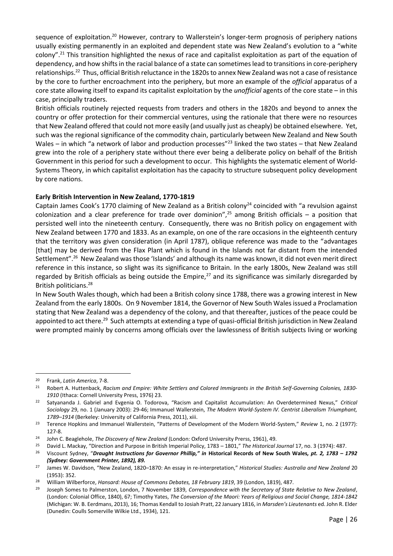sequence of exploitation.<sup>20</sup> However, contrary to Wallerstein's longer-term prognosis of periphery nations usually existing permanently in an exploited and dependent state was New Zealand's evolution to a "white colony".<sup>21</sup> This transition highlighted the nexus of race and capitalist exploitation as part of the equation of dependency, and how shifts in the racial balance of a state can sometimes lead to transitions in core-periphery relationships.<sup>22</sup> Thus, official British reluctance in the 1820s to annex New Zealand was not a case of resistance by the core to further encroachment into the periphery, but more an example of the *official* apparatus of a core state allowing itself to expand its capitalist exploitation by the *unofficial* agents of the core state – in this case, principally traders.

British officials routinely rejected requests from traders and others in the 1820s and beyond to annex the country or offer protection for their commercial ventures, using the rationale that there were no resources that New Zealand offered that could not more easily (and usually just as cheaply) be obtained elsewhere. Yet, such was the regional significance of the commodity chain, particularly between New Zealand and New South Wales – in which "a network of labor and production processes"<sup>23</sup> linked the two states – that New Zealand grew into the role of a periphery state without there ever being a deliberate policy on behalf of the British Government in this period for such a development to occur. This highlights the systematic element of World-Systems Theory, in which capitalist exploitation has the capacity to structure subsequent policy development by core nations.

## **Early British Intervention in New Zealand, 1770-1819**

Captain James Cook's 1770 claiming of New Zealand as a British colony<sup>24</sup> coincided with "a revulsion against colonization and a clear preference for trade over dominion",<sup>25</sup> among British officials – a position that persisted well into the nineteenth century. Consequently, there was no British policy on engagement with New Zealand between 1770 and 1833. As an example, on one of the rare occasions in the eighteenth century that the territory was given consideration (in April 1787), oblique reference was made to the "advantages [that] may be derived from the Flax Plant which is found in the Islands not far distant from the intended Settlement".<sup>26</sup> New Zealand was those 'Islands' and although its name was known, it did not even merit direct reference in this instance, so slight was its significance to Britain. In the early 1800s, New Zealand was still regarded by British officials as being outside the Empire, $^{27}$  and its significance was similarly disregarded by British politicians.<sup>28</sup>

In New South Wales though, which had been a British colony since 1788, there was a growing interest in New Zealand from the early 1800s. On 9 November 1814, the Governor of New South Wales issued a Proclamation stating that New Zealand was a dependency of the colony, and that thereafter, justices of the peace could be appointed to act there.<sup>29</sup> Such attempts at extending a type of quasi-official British jurisdiction in New Zealand were prompted mainly by concerns among officials over the lawlessness of British subjects living or working

<sup>20</sup> Frank, *Latin America*, 7-8.

<sup>21</sup> Robert A. Huttenback, *Racism and Empire: White Settlers and Colored Immigrants in the British Self-Governing Colonies, 1830- 1910* (Ithaca: Cornell University Press, 1976) 23.

<sup>22</sup> Satyananda J. Gabriel and Evgenia O. Todorova, "Racism and Capitalist Accumulation: An Overdetermined Nexus," *Critical Sociology* 29, no. 1 (January 2003): 29-46; Immanuel Wallerstein, *The Modern World-System IV. Centrist Liberalism Triumphant, 1789–1914* (Berkeley: University of California Press, 2011), xiii.

<sup>23</sup> Terence Hopkins and Immanuel Wallerstein, "Patterns of Development of the Modern World-System," *Review* 1, no. 2 (1977): 127-8.

<sup>24</sup> John C. Beaglehole, *The Discovery of New Zealand* (London: Oxford University Prerss, 1961), 49.

<sup>25</sup> David L. Mackay, "Direction and Purpose in British Imperial Policy, 1783 – 1801," *The Historical Journal* 17, no. 3 (1974): 487.

<sup>26</sup> Viscount Sydney, "*Draught Instructions for Governor Phillip," in* **Historical Records of New South Wales***, pt. 2, 1783 – 1792 (Sydney: Government Printer, 1892), 89.* 

<sup>27</sup> James W. Davidson, "New Zealand, 1820–1870: An essay in re‐interpretation," *Historical Studies: Australia and New Zealand* 20 (1953): 352.

<sup>28</sup> William Wilberforce, *Hansard: House of Commons Debates, 18 February 1819*, 39 (London, 1819), 487.

<sup>29</sup> Joseph Somes to Palmerston, London, 7 November 1839, *Correspondence with the Secretary of State Relative to New Zealand*, (London: Colonial Office, 1840), 67; Timothy Yates, *The Conversion of the Maori: Years of Religious and Social Change, 1814-1842* (Michigan: W. B. Eerdmans, 2013), 16; Thomas Kendall to Josiah Pratt, 22 January 1816, in *Marsden's Lieutenants* ed. John R. Elder (Dunedin: Coulls Somerville Wilkie Ltd., 1934), 121.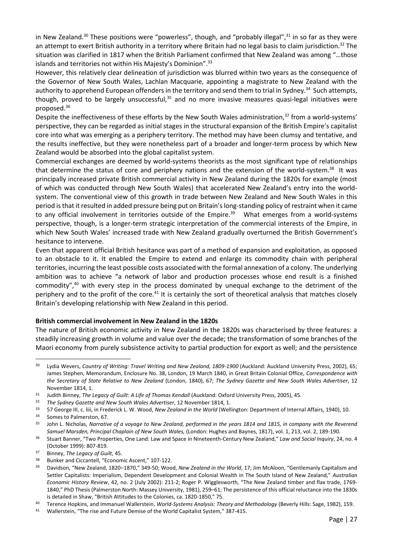in New Zealand.<sup>30</sup> These positions were "powerless", though, and "probably illegal",<sup>31</sup> in so far as they were an attempt to exert British authority in a territory where Britain had no legal basis to claim jurisdiction.<sup>32</sup> The situation was clarified in 1817 when the British Parliament confirmed that New Zealand was among "…those islands and territories not within His Majesty's Dominion".<sup>33</sup>

However, this relatively clear delineation of jurisdiction was blurred within two years as the consequence of the Governor of New South Wales, Lachlan Macquarie, appointing a magistrate to New Zealand with the authority to apprehend European offenders in the territory and send them to trial in Sydney.<sup>34</sup> Such attempts, though, proved to be largely unsuccessful, $35$  and no more invasive measures quasi-legal initiatives were proposed.<sup>36</sup>

Despite the ineffectiveness of these efforts by the New South Wales administration,<sup>37</sup> from a world-systems' perspective, they can be regarded as initial stages in the structural expansion of the British Empire's capitalist core into what was emerging as a periphery territory. The method may have been clumsy and tentative, and the results ineffective, but they were nonetheless part of a broader and longer-term process by which New Zealand would be absorbed into the global capitalist system.

Commercial exchanges are deemed by world-systems theorists as the most significant type of relationships that determine the status of core and periphery nations and the extension of the world-system.<sup>38</sup> It was principally increased private British commercial activity in New Zealand during the 1820s for example (most of which was conducted through New South Wales) that accelerated New Zealand's entry into the worldsystem. The conventional view of this growth in trade between New Zealand and New South Wales in this period is that it resulted in added pressure being put on Britain's long-standing policy of restraint when it came to any official involvement in territories outside of the Empire.<sup>39</sup> What emerges from a world-systems perspective, though, is a longer-term strategic interpretation of the commercial interests of the Empire, in which New South Wales' increased trade with New Zealand gradually overturned the British Government's hesitance to intervene.

Even that apparent official British hesitance was part of a method of expansion and exploitation, as opposed to an obstacle to it. It enabled the Empire to extend and enlarge its commodity chain with peripheral territories, incurring the least possible costs associated with the formal annexation of a colony. The underlying ambition was to achieve "a network of labor and production processes whose end result is a finished commodity",<sup>40</sup> with every step in the process dominated by unequal exchange to the detriment of the periphery and to the profit of the core.<sup>41</sup> It is certainly the sort of theoretical analysis that matches closely Britain's developing relationship with New Zealand in this period.

## **British commercial involvement in New Zealand in the 1820s**

The nature of British economic activity in New Zealand in the 1820s was characterised by three features: a steadily increasing growth in volume and value over the decade; the transformation of some branches of the Maori economy from purely subsistence activity to partial production for export as well; and the persistence

<sup>33</sup> 57 George III, c. liii, in Frederick L. W. Wood, *New Zealand in the World* (Wellington: Department of Internal Affairs, 1940), 10.

<sup>&</sup>lt;sup>30</sup> Lydia Wevers, *Country of Writing: Travel Writing and New Zealand, 1809-1900* (Auckland: Auckland University Press, 2002), 65; James Stephen, Memorandum, Enclosure No. 38, London, 19 March 1840, in Great Britain Colonial Office, *Correspondence with the Secretary of State Relative to New Zealand* (London, 1840), 67; *The Sydney Gazette and New South Wales Advertiser*, 12 November 1814, 1.

<sup>&</sup>lt;sup>31</sup> Judith Binney, *The Legacy of Guilt: A Life of Thomas Kendall* (Auckland: Oxford University Press, 2005), 45.

<sup>32</sup> *The Sydney Gazette and New South Wales Advertiser*, 12 November 1814, 1.

<sup>34</sup> Somes to Palmerston, 67.

<sup>35</sup> John L. Nicholas, *Narrative of a voyage to New Zealand, performed in the years 1814 and 1815, in company with the Reverend Samuel Marsden, Principal Chaplain of New South Wales,* (London: Hughes and Baynes, 1817), vol. 1, 213, vol. 2, 189-190.

<sup>36</sup> Stuart Banner, "Two Properties, One Land: Law and Space in Nineteenth-Century New Zealand," *Law and Social Inquiry*, 24, no. 4 (October 1999): 807-819.

<sup>37</sup> Binney, *The Legacy of Guilt*, 45.

<sup>38</sup> Bunker and Ciccantell, "Economic Ascent," 107-122.<br>39 Davidson, "New Zealand, 1820–1870." 349-50: Woo

<sup>39</sup> Davidson, "New Zealand, 1820–1870," 349-50; Wood, *New Zealand in the World*, 17; Jim McAloon, "Gentlemanly Capitalism and Settler Capitalists: Imperialism, Dependent Development and Colonial Wealth in The South Island of New Zealand," *Australian Economic History Review*, 42, no. 2 (July 2002): 211-2; Roger P. Wigglesworth, "The New Zealand timber and flax trade, 1769- 1840," PhD Thesis (Palmerston North: Massey University, 1981), 259–61; The persistence of this official reluctance into the 1830s is detailed in Shaw, "British Attitudes to the Colonies, ca. 1820-1850," 75.

<sup>40</sup> Terence Hopkins, and Immanuel Wallerstein, *World-Systems Analysis: Theory and Methodology* (Beverly Hills: Sage, 1982), 159.

<sup>41</sup> Wallerstein, "The rise and Future Demise of the World Capitalist System," 387-415.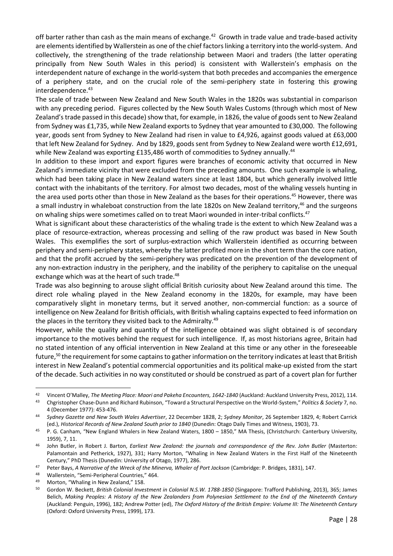off barter rather than cash as the main means of exchange.<sup>42</sup> Growth in trade value and trade-based activity are elements identified by Wallerstein as one of the chief factors linking a territory into the world-system. And collectively, the strengthening of the trade relationship between Maori and traders (the latter operating principally from New South Wales in this period) is consistent with Wallerstein's emphasis on the interdependent nature of exchange in the world-system that both precedes and accompanies the emergence of a periphery state, and on the crucial role of the semi-periphery state in fostering this growing interdependence.<sup>43</sup>

The scale of trade between New Zealand and New South Wales in the 1820s was substantial in comparison with any preceding period. Figures collected by the New South Wales Customs (through which most of New Zealand's trade passed in this decade) show that, for example, in 1826, the value of goods sent to New Zealand from Sydney was £1,735, while New Zealand exports to Sydney that year amounted to £30,000. The following year, goods sent from Sydney to New Zealand had risen in value to £4,926, against goods valued at £63,000 that left New Zealand for Sydney. And by 1829, goods sent from Sydney to New Zealand were worth £12,691, while New Zealand was exporting £135,486 worth of commodities to Sydney annually.<sup>44</sup>

In addition to these import and export figures were branches of economic activity that occurred in New Zealand's immediate vicinity that were excluded from the preceding amounts. One such example is whaling, which had been taking place in New Zealand waters since at least 1804, but which generally involved little contact with the inhabitants of the territory. For almost two decades, most of the whaling vessels hunting in the area used ports other than those in New Zealand as the bases for their operations.<sup>45</sup> However, there was a small industry in whaleboat construction from the late 1820s on New Zealand territory,<sup>46</sup> and the surgeons on whaling ships were sometimes called on to treat Maori wounded in inter-tribal conflicts.<sup>47</sup>

What is significant about these characteristics of the whaling trade is the extent to which New Zealand was a place of resource-extraction, whereas processing and selling of the raw product was based in New South Wales. This exemplifies the sort of surplus-extraction which Wallerstein identified as occurring between periphery and semi-periphery states, whereby the latter profited more in the short term than the core nation, and that the profit accrued by the semi-periphery was predicated on the prevention of the development of any non-extraction industry in the periphery, and the inability of the periphery to capitalise on the unequal exchange which was at the heart of such trade.<sup>48</sup>

Trade was also beginning to arouse slight official British curiosity about New Zealand around this time. The direct role whaling played in the New Zealand economy in the 1820s, for example, may have been comparatively slight in monetary terms, but it served another, non-commercial function: as a source of intelligence on New Zealand for British officials, with British whaling captains expected to feed information on the places in the territory they visited back to the Admiralty.<sup>49</sup>

However, while the quality and quantity of the intelligence obtained was slight obtained is of secondary importance to the motives behind the request for such intelligence. If, as most historians agree, Britain had no stated intention of any official intervention in New Zealand at this time or any other in the foreseeable future,<sup>50</sup> the requirement for some captains to gather information on the territory indicates at least that British interest in New Zealand's potential commercial opportunities and its political make-up existed from the start of the decade. Such activities in no way constituted or should be construed as part of a covert plan for further

<sup>1</sup> <sup>42</sup> Vincent O'Malley, *The Meeting Place: Maori and Pakeha Encounters, 1642-1840* (Auckland: Auckland University Press, 2012), 114.

<sup>43</sup> Chgristopher Chase-Dunn and Richard Rubinson, "Toward a Structural Perspective on the World-System," *Politics & Society* 7, no. 4 (December 1977): 453-476.

<sup>44</sup> *Sydney Gazette and New South Wales Advertiser*, 22 December 1828, 2; *Sydney Monitor*, 26 September 1829, 4; Robert Carrick (ed.), *Historical Records of New Zealand South prior to 1840* (Dunedin: Otago Daily Times and Witness, 1903), 73.

<sup>45</sup> P. G. Canham, "New England Whalers in New Zealand Waters, 1800 - 1850," MA Thesis, (Christchurch: Canterbury University, 1959), 7, 11.

<sup>46</sup> John Butler, in Robert J. Barton, *Earliest New Zealand: the journals and correspondence of the Rev. John Butler* (Masterton: Palamontain and Petherick, 1927), 331; Harry Morton, "Whaling in New Zealand Waters in the First Half of the Nineteenth Century," PhD Thesis (Dunedin: University of Otago, 1977), 286.

<sup>47</sup> Peter Bays, *A Narrative of the Wreck of the Minerva, Whaler of Port Jackson* (Cambridge: P. Bridges, 1831), 147.

<sup>48</sup> Wallerstein, "Semi-Peripheral Countries," 464.

<sup>49</sup> Morton, "Whaling in New Zealand," 158.

<sup>50</sup> Gordon W. Beckett, *British Colonial Investment in Colonial N.S.W. 1788-1850* (Singapore: Trafford Publishing, 2013), 365; James Belich, *Making Peoples: A History of the New Zealanders from Polynesian Settlement to the End of the Nineteenth Century* (Auckland: Penguin, 1996), 182; Andrew Potter (ed), *The Oxford History of the British Empire: Volume III: The Nineteenth Century* (Oxford: Oxford University Press, 1999), 173.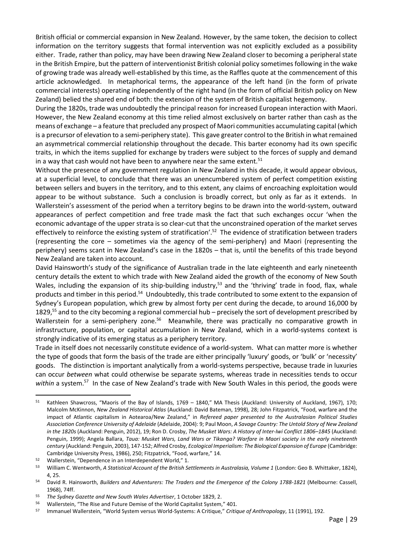British official or commercial expansion in New Zealand. However, by the same token, the decision to collect information on the territory suggests that formal intervention was not explicitly excluded as a possibility either. Trade, rather than policy, may have been drawing New Zealand closer to becoming a peripheral state in the British Empire, but the pattern of interventionist British colonial policy sometimes following in the wake of growing trade was already well-established by this time, as the Raffles quote at the commencement of this article acknowledged. In metaphorical terms, the appearance of the left hand (in the form of private commercial interests) operating independently of the right hand (in the form of official British policy on New Zealand) belied the shared end of both: the extension of the system of British capitalist hegemony.

During the 1820s, trade was undoubtedly the principal reason for increased European interaction with Maori. However, the New Zealand economy at this time relied almost exclusively on barter rather than cash as the means of exchange – a feature that precluded any prospect of Maori communities accumulating capital (which is a precursor of elevation to a semi-periphery state). This gave greater control to the British in what remained an asymmetrical commercial relationship throughout the decade. This barter economy had its own specific traits, in which the items supplied for exchange by traders were subject to the forces of supply and demand in a way that cash would not have been to anywhere near the same extent. $51$ 

Without the presence of any government regulation in New Zealand in this decade, it would appear obvious, at a superficial level, to conclude that there was an unencumbered system of perfect competition existing between sellers and buyers in the territory, and to this extent, any claims of encroaching exploitation would appear to be without substance. Such a conclusion is broadly correct, but only as far as it extends. In Wallerstein's assessment of the period when a territory begins to be drawn into the world-system, outward appearances of perfect competition and free trade mask the fact that such exchanges occur 'when the economic advantage of the upper strata is so clear-cut that the unconstrained operation of the market serves effectively to reinforce the existing system of stratification'.<sup>52</sup> The evidence of stratification between traders (representing the core – sometimes via the agency of the semi-periphery) and Maori (representing the periphery) seems scant in New Zealand's case in the 1820s – that is, until the benefits of this trade beyond New Zealand are taken into account.

David Hainsworth's study of the significance of Australian trade in the late eighteenth and early nineteenth century details the extent to which trade with New Zealand aided the growth of the economy of New South Wales, including the expansion of its ship-building industry,<sup>53</sup> and the 'thriving' trade in food, flax, whale products and timber in this period.<sup>54</sup> Undoubtedly, this trade contributed to some extent to the expansion of Sydney's European population, which grew by almost forty per cent during the decade, to around 16,000 by 1829,<sup>55</sup> and to the city becoming a regional commercial hub – precisely the sort of development prescribed by Wallerstein for a semi-periphery zone.<sup>56</sup> Meanwhile, there was practically no comparative growth in infrastructure, population, or capital accumulation in New Zealand, which in a world-systems context is strongly indicative of its emerging status as a periphery territory.

Trade in itself does not necessarily constitute evidence of a world-system. What can matter more is whether the type of goods that form the basis of the trade are either principally 'luxury' goods, or 'bulk' or 'necessity' goods. The distinction is important analytically from a world-systems perspective, because trade in luxuries can occur *between* what could otherwise be separate systems, whereas trade in necessities tends to occur within a system.<sup>57</sup> In the case of New Zealand's trade with New South Wales in this period, the goods were

<sup>51</sup> Kathleen Shawcross, "Maoris of the Bay of Islands, 1769 – 1840," MA Thesis (Auckland: University of Auckland, 1967), 170; Malcolm McKinnon, *New Zealand Historical Atlas* (Auckland: David Bateman, 1998), 28; John Fitzpatrick, "Food, warfare and the impact of Atlantic capitalism in Aotearoa/New Zealand," in *Refereed paper presented to the Australasian Political Studies Association Conference University of Adelaide* (Adelaide, 2004): 9; Paul Moon, *A Savage Country: The Untold Story of New Zealand in the 1820s* (Auckland: Penguin, 2012), 19; Ron D. Crosby, *The Musket Wars: A History of Inter-Iwi Conflict 1806–1845* (Auckland: Penguin, 1999); Angela Ballara, *Taua: Musket Wars, Land Wars or Tikanga? Warfare in Maori society in the early nineteenth century* (Auckland: Penguin, 2003), 147-152; Alfred Crosby, *Ecological Imperialism: The Biological Expansion of Europe* (Cambridge: Cambridge University Press, 1986), 250; Fitzpatrick, "Food, warfare," 14.

<sup>&</sup>lt;sup>52</sup> Wallerstein, "Dependence in an Interdependent World," 1.<br><sup>53</sup> William C. Wentworth, A Statistical Account of the British Se

<sup>53</sup> William C. Wentworth, *A Statistical Account of the British Settlements in Australasia, Volume 1* (London: Geo B. Whittaker, 1824), 4, 25.

<sup>54</sup> David R. Hainsworth, *Builders and Adventurers: The Traders and the Emergence of the Colony 1788-1821* (Melbourne: Cassell, 1968), 74ff.

<sup>55</sup> *The Sydney Gazette and New South Wales Advertiser*, 1 October 1829, 2.

<sup>56</sup> Wallerstein, "The Rise and Future Demise of the World Capitalist System," 401.

<sup>57</sup> Immanuel Wallerstein, "World System versus World-Systems: A Critique," *Critique of Anthropology*, 11 (1991), 192.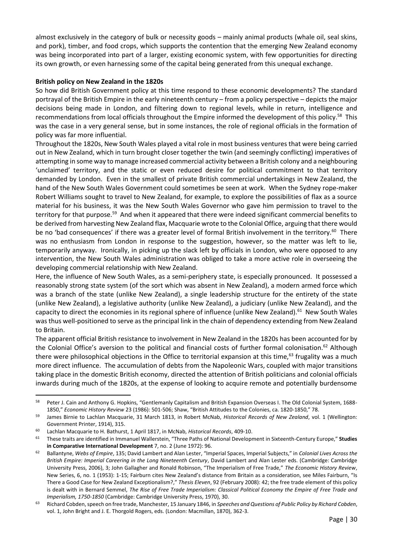almost exclusively in the category of bulk or necessity goods – mainly animal products (whale oil, seal skins, and pork), timber, and food crops, which supports the contention that the emerging New Zealand economy was being incorporated into part of a larger, existing economic system, with few opportunities for directing its own growth, or even harnessing some of the capital being generated from this unequal exchange.

## **British policy on New Zealand in the 1820s**

So how did British Government policy at this time respond to these economic developments? The standard portrayal of the British Empire in the early nineteenth century – from a policy perspective – depicts the major decisions being made in London, and filtering down to regional levels, while in return, intelligence and recommendations from local officials throughout the Empire informed the development of this policy.<sup>58</sup> This was the case in a very general sense, but in some instances, the role of regional officials in the formation of policy was far more influential.

Throughout the 1820s, New South Wales played a vital role in most business ventures that were being carried out in New Zealand, which in turn brought closer together the twin (and seemingly conflicting) imperatives of attempting in some way to manage increased commercial activity between a British colony and a neighbouring 'unclaimed' territory, and the static or even reduced desire for political commitment to that territory demanded by London. Even in the smallest of private British commercial undertakings in New Zealand, the hand of the New South Wales Government could sometimes be seen at work. When the Sydney rope-maker Robert Williams sought to travel to New Zealand, for example, to explore the possibilities of flax as a source material for his business, it was the New South Wales Governor who gave him permission to travel to the territory for that purpose.<sup>59</sup> And when it appeared that there were indeed significant commercial benefits to be derived from harvesting New Zealand flax, Macquarie wrote to the Colonial Office, arguing that there would be no 'bad consequences' if there was a greater level of formal British involvement in the territory.<sup>60</sup> There was no enthusiasm from London in response to the suggestion, however, so the matter was left to lie, temporarily anyway. Ironically, in picking up the slack left by officials in London, who were opposed to any intervention, the New South Wales administration was obliged to take a more active role in overseeing the developing commercial relationship with New Zealand.

Here, the influence of New South Wales, as a semi-periphery state, is especially pronounced. It possessed a reasonably strong state system (of the sort which was absent in New Zealand), a modern armed force which was a branch of the state (unlike New Zealand), a single leadership structure for the entirety of the state (unlike New Zealand), a legislative authority (unlike New Zealand), a judiciary (unlike New Zealand), and the capacity to direct the economies in its regional sphere of influence (unlike New Zealand).<sup>61</sup> New South Wales was thus well-positioned to serve as the principal link in the chain of dependency extending from New Zealand to Britain.

The apparent official British resistance to involvement in New Zealand in the 1820s has been accounted for by the Colonial Office's aversion to the political and financial costs of further formal colonisation.<sup>62</sup> Although there were philosophical objections in the Office to territorial expansion at this time, $^{63}$  frugality was a much more direct influence. The accumulation of debts from the Napoleonic Wars, coupled with major transitions taking place in the domestic British economy, directed the attention of British politicians and colonial officials inwards during much of the 1820s, at the expense of looking to acquire remote and potentially burdensome

<sup>58</sup> Peter J. Cain and Anthony G. Hopkins, "Gentlemanly Capitalism and British Expansion Overseas I. The Old Colonial System, 1688-1850," *Economic History Review* 23 (1986): 501-506; Shaw, "British Attitudes to the Colonies, ca. 1820-1850," 78.

<sup>59</sup> James Birnie to Lachlan Macquarie, 31 March 1813, in Robert McNab, *Historical Records of New Zealand*, vol. 1 (Wellington: Government Printer, 1914), 315.

<sup>60</sup> Lachlan Macquarie to H. Bathurst, 1 April 1817, in McNab, *Historical Records*, 409-10.

<sup>61</sup> These traits are identified in Immanuel Wallerstein, "Three Paths of National Development in Sixteenth-Century Europe," **Studies in Comparative International Development** 7, no. 2 (June 1972): 96.

<sup>62</sup> Ballantyne, *Webs of Empire*, 135; David Lambert and Alan Lester, "Imperial Spaces, Imperial Subjects," in *Colonial Lives Across the British Empire: Imperial Careering in the Long Nineteenth Century*, David Lambert and Alan Lester eds. (Cambridge: Cambridge University Press, 2006), 3; John Gallagher and Ronald Robinson, "The Imperialism of Free Trade," *The Economic History Review*, New Series, 6, no. 1 (1953): 1-15; Fairburn cites New Zealand's distance from Britain as a consideration, see Miles Fairburn, "Is There a Good Case for New Zealand Exceptionalism?," *Thesis Eleven*, 92 (February 2008): 42; the free trade element of this policy is dealt with in Bernard Semmel, *The Rise of Free Trade Imperialism: Classical Political Economy the Empire of Free Trade and Imperialism, 1750-1850* (Cambridge: Cambridge University Press, 1970), 30.

<sup>63</sup> Richard Cobden, speech on free trade, Manchester, 15 January 1846, in *Speeches and Questions of Public Policy by Richard Cobden*, vol. 1, John Bright and J. E. Thorgold Rogers, eds. (London: Macmillan, 1870), 362-3.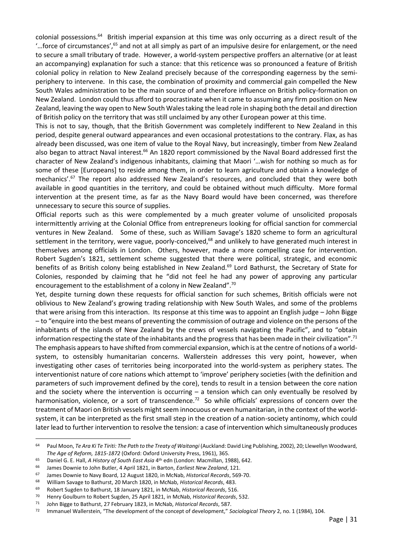colonial possessions.<sup>64</sup> British imperial expansion at this time was only occurring as a direct result of the '…force of circumstances',<sup>65</sup> and not at all simply as part of an impulsive desire for enlargement, or the need to secure a small tributary of trade. However, a world-system perspective proffers an alternative (or at least an accompanying) explanation for such a stance: that this reticence was so pronounced a feature of British colonial policy in relation to New Zealand precisely because of the corresponding eagerness by the semiperiphery to intervene. In this case, the combination of proximity and commercial gain compelled the New South Wales administration to be the main source of and therefore influence on British policy-formation on New Zealand. London could thus afford to procrastinate when it came to assuming any firm position on New Zealand, leaving the way open to New South Wales taking the lead role in shaping both the detail and direction of British policy on the territory that was still unclaimed by any other European power at this time.

This is not to say, though, that the British Government was completely indifferent to New Zealand in this period, despite general outward appearances and even occasional protestations to the contrary. Flax, as has already been discussed, was one item of value to the Royal Navy, but increasingly, timber from New Zealand also began to attract Naval interest.<sup>66</sup> An 1820 report commissioned by the Naval Board addressed first the character of New Zealand's indigenous inhabitants, claiming that Maori '…wish for nothing so much as for some of these [Europeans] to reside among them, in order to learn agriculture and obtain a knowledge of mechanics'.<sup>67</sup> The report also addressed New Zealand's resources, and concluded that they were both available in good quantities in the territory, and could be obtained without much difficulty. More formal intervention at the present time, as far as the Navy Board would have been concerned, was therefore unnecessary to secure this source of supplies.

Official reports such as this were complemented by a much greater volume of unsolicited proposals intermittently arriving at the Colonial Office from entrepreneurs looking for official sanction for commercial ventures in New Zealand. Some of these, such as William Savage's 1820 scheme to form an agricultural settlement in the territory, were vague, poorly-conceived,<sup>68</sup> and unlikely to have generated much interest in themselves among officials in London. Others, however, made a more compelling case for intervention. Robert Sugden's 1821, settlement scheme suggested that there were political, strategic, and economic benefits of as British colony being established in New Zealand.<sup>69</sup> Lord Bathurst, the Secretary of State for Colonies, responded by claiming that he "did not feel he had any power of approving any particular encouragement to the establishment of a colony in New Zealand".<sup>70</sup>

Yet, despite turning down these requests for official sanction for such schemes, British officials were not oblivious to New Zealand's growing trading relationship with New South Wales, and some of the problems that were arising from this interaction. Its response at this time was to appoint an English judge – John Bigge – to "enquire into the best means of preventing the commission of outrage and violence on the persons of the inhabitants of the islands of New Zealand by the crews of vessels navigating the Pacific", and to "obtain information respecting the state of the inhabitants and the progress that has been made in their civilization".<sup>71</sup> The emphasis appears to have shifted from commercial expansion, which is at the centre of notions of a worldsystem, to ostensibly humanitarian concerns. Wallerstein addresses this very point, however, when investigating other cases of territories being incorporated into the world-system as periphery states. The interventionist nature of core nations which attempt to 'improve' periphery societies (with the definition and parameters of such improvement defined by the core), tends to result in a tension between the core nation and the society where the intervention is occurring – a tension which can only eventually be resolved by harmonisation, violence, or a sort of transcendence.<sup>72</sup> So while officials' expressions of concern over the treatment of Maori on British vessels might seem innocuous or even humanitarian, in the context of the worldsystem, it can be interpreted as the first small step in the creation of a nation-society antinomy, which could later lead to further intervention to resolve the tension: a case of intervention which simultaneously produces

<sup>64</sup> Paul Moon, *Te Ara Ki Te Tiriti: The Path to the Treaty of Waitangi* (Auckland: David Ling Publishing, 2002), 20; Llewellyn Woodward, *The Age of Reform, 1815-1872* (Oxford: Oxford University Press, 1961), 365.

<sup>65</sup> Daniel G. E. Hall, *A History of South East Asia* 4 th edn (London: Macmillan, 1988), 642.

<sup>66</sup> James Downie to John Butler, 4 April 1821, in Barton, *Earliest New Zealand*, 121.

<sup>67</sup> James Downie to Navy Board, 12 August 1820, in McNab, *Historical Records*, 569-70.

<sup>68</sup> William Savage to Bathurst, 20 March 1820, in McNab, *Historical Records*, 483.

<sup>69</sup> Robert Sugden to Bathurst, 18 January 1821, in McNab, *Historical Records*, 516.

<sup>70</sup> Henry Goulburn to Robert Sugden, 25 April 1821, in McNab, *Historical Records*, 532.

<sup>71</sup> John Bigge to Bathurst, 27 February 1823, in McNab, *Historical Records*, 587.

<sup>72</sup> Immanuel Wallerstein, "The development of the concept of development," *Sociological Theory* 2, no. 1 (1984), 104.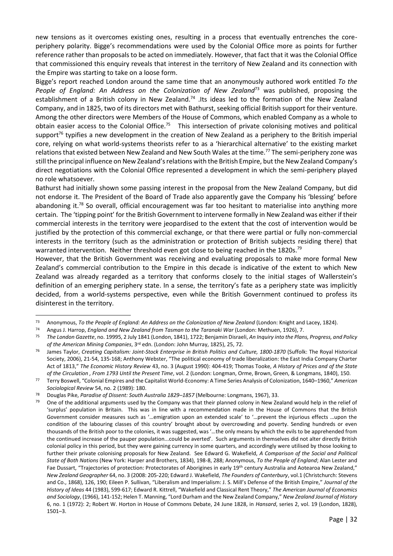new tensions as it overcomes existing ones, resulting in a process that eventually entrenches the coreperiphery polarity. Bigge's recommendations were used by the Colonial Office more as points for further reference rather than proposals to be acted on immediately. However, that fact that it was the Colonial Office that commissioned this enquiry reveals that interest in the territory of New Zealand and its connection with the Empire was starting to take on a loose form.

Bigge's report reached London around the same time that an anonymously authored work entitled *To the People of England: An Address on the Colonization of New Zealand*<sup>73</sup> was published, proposing the establishment of a British colony in New Zealand.<sup>74</sup> .Its ideas led to the formation of the New Zealand Company, and in 1825, two of its directors met with Bathurst, seeking official British support for their venture. Among the other directors were Members of the House of Commons, which enabled Company as a whole to obtain easier access to the Colonial Office.<sup>75</sup> This intersection of private colonising motives and political support<sup>76</sup> typifies a new development in the creation of New Zealand as a periphery to the British imperial core, relying on what world-systems theorists refer to as a 'hierarchical alternative' to the existing market relations that existed between New Zealand and New South Wales at the time.<sup>77</sup> The semi-periphery zone was still the principal influence on New Zealand's relations with the British Empire, but the New Zealand Company's direct negotiations with the Colonial Office represented a development in which the semi-periphery played no role whatsoever.

Bathurst had initially shown some passing interest in the proposal from the New Zealand Company, but did not endorse it. The President of the Board of Trade also apparently gave the Company his 'blessing' before abandoning it.<sup>78</sup> So overall, official encouragement was far too hesitant to materialise into anything more certain. The 'tipping point' for the British Government to intervene formally in New Zealand was either if their commercial interests in the territory were jeopardised to the extent that the cost of intervention would be justified by the protection of this commercial exchange, or that there were partial or fully non-commercial interests in the territory (such as the administration or protection of British subjects residing there) that warranted intervention. Neither threshold even got close to being reached in the 1820s.<sup>79</sup>

However, that the British Government was receiving and evaluating proposals to make more formal New Zealand's commercial contribution to the Empire in this decade is indicative of the extent to which New Zealand was already regarded as a territory that conforms closely to the initial stages of Wallerstein's definition of an emerging periphery state. In a sense, the territory's fate as a periphery state was implicitly decided, from a world-systems perspective, even while the British Government continued to profess its disinterest in the territory.

<sup>73</sup> Anonymous, *To the People of England: An Address on the Colonization of New Zealand* (London: Knight and Lacey, 1824).

<sup>74</sup> Angus J. Harrop, *England and New Zealand from Tasman to the Taranaki War* (London: Methuen, 1926), 7.

<sup>75</sup> *The London Gazette*, no. 19995, 2 July 1841 (London, 1841), 1722; Benjamin Disraeli, *An Inquiry into the Plans, Progress, and Policy of the American Mining Companies*, 3rd edn. (London: John Murray, 1825), 25, 72.

<sup>76</sup> James Taylor, *Creating Capitalism: Joint-Stock Enterprise in British Politics and Culture, 1800-1870* (Suffolk: The Royal Historical Society, 2006), 21-54, 135-168; Anthony Webster, "The political economy of trade liberalization: the East India Company Charter Act of 1813," *The Economic History Review* 43, no. 3 (August 1990): 404-419; Thomas Tooke, *A History of Prices and of the State of the Circulation , From 1793 Until the Present Time*, vol. 2 (London: Longman, Orme, Brown, Green, & Longmans, 1840), 150.

<sup>77</sup> Terry Boswell, "Colonial Empires and the Capitalist World-Economy: A Time Series Analysis of Colonization, 1640–1960," *American Sociological Review* 54, no. 2 (1989): 180.

<sup>78</sup> Douglas Pike, *Paradise of Dissent: South Australia 1829–1857* (Melbourne: Longmans, 1967), 33.

 $79$  One of the additional arguments used by the Company was that their planned colony in New Zealand would help in the relief of 'surplus' population in Britain. This was in line with a recommendation made in the House of Commons that the British Government consider measures such as '…emigration upon an extended scale' to '…prevent the injurious effects …upon the condition of the labouring classes of this country' brought about by overcrowding and poverty. Sending hundreds or even thousands of the British poor to the colonies, it was suggested, was '…the only means by which the evils to be apprehended from the continued increase of the pauper population...could be averted'. Such arguments in themselves did not alter directly British colonial policy in this period, but they were gaining currency in some quarters, and accordingly were utilised by those looking to further their private colonising proposals for New Zealand. See Edward G. Wakefield, *A Comparison of the Social and Political State of Both Nations* (New York: Harper and Brothers, 1834), 198-8, 288; Anonymous, *To the People of England*; Alan Lester and Fae Dussart, "Trajectories of protection: Protectorates of Aborigines in early 19th century Australia and Aotearoa New Zealand," *New Zealand Geographer* 64, no. 3 (2008: 205-220; Edward J. Wakefield, *The Founders of Canterbury*, vol.1 (Christchurch: Stevens and Co., 1868), 126, 190; Eileen P. Sullivan, "Liberalism and Imperialism: J. S. Mill's Defense of the British Empire," *Journal of the History of Ideas* 44 (1983), 599-617; Edward R. Kittrell, "Wakefield and Classical Rent Theory," *The American Journal of Economics and Sociology*, (1966), 141-152; Helen T. Manning, "Lord Durham and the New Zealand Company," *New Zealand Journal of History* 6, no. 1 (1972): 2; Robert W. Horton in House of Commons Debate, 24 June 1828, in *Hansard*, series 2, vol. 19 (London, 1828), 1501–3.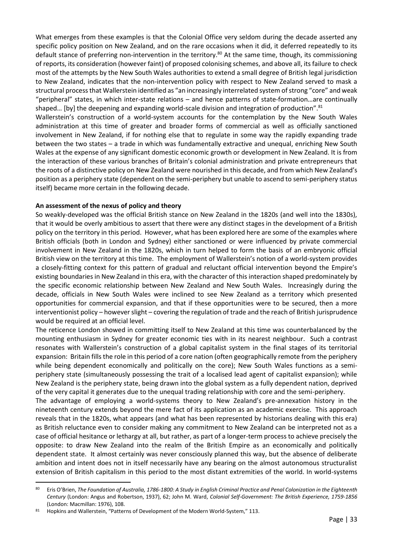What emerges from these examples is that the Colonial Office very seldom during the decade asserted any specific policy position on New Zealand, and on the rare occasions when it did, it deferred repeatedly to its default stance of preferring non-intervention in the territory.<sup>80</sup> At the same time, though, its commissioning of reports, its consideration (however faint) of proposed colonising schemes, and above all, its failure to check most of the attempts by the New South Wales authorities to extend a small degree of British legal jurisdiction to New Zealand, indicates that the non-intervention policy with respect to New Zealand served to mask a structural process that Wallerstein identified as "an increasingly interrelated system of strong "core" and weak "peripheral" states, in which inter-state relations – and hence patterns of state-formation…are continually shaped... [by] the deepening and expanding world-scale division and integration of production".<sup>81</sup>

Wallerstein's construction of a world-system accounts for the contemplation by the New South Wales administration at this time of greater and broader forms of commercial as well as officially sanctioned involvement in New Zealand, if for nothing else that to regulate in some way the rapidly expanding trade between the two states – a trade in which was fundamentally extractive and unequal, enriching New South Wales at the expense of any significant domestic economic growth or development in New Zealand. It is from the interaction of these various branches of Britain's colonial administration and private entrepreneurs that the roots of a distinctive policy on New Zealand were nourished in this decade, and from which New Zealand's position as a periphery state (dependent on the semi-periphery but unable to ascend to semi-periphery status itself) became more certain in the following decade.

## **An assessment of the nexus of policy and theory**

So weakly-developed was the official British stance on New Zealand in the 1820s (and well into the 1830s), that it would be overly ambitious to assert that there were any distinct stages in the development of a British policy on the territory in this period. However, what has been explored here are some of the examples where British officials (both in London and Sydney) either sanctioned or were influenced by private commercial involvement in New Zealand in the 1820s, which in turn helped to form the basis of an embryonic official British view on the territory at this time. The employment of Wallerstein's notion of a world-system provides a closely-fitting context for this pattern of gradual and reluctant official intervention beyond the Empire's existing boundaries in New Zealand in this era, with the character of this interaction shaped predominately by the specific economic relationship between New Zealand and New South Wales. Increasingly during the decade, officials in New South Wales were inclined to see New Zealand as a territory which presented opportunities for commercial expansion, and that if these opportunities were to be secured, then a more interventionist policy – however slight – covering the regulation of trade and the reach of British jurisprudence would be required at an official level.

The reticence London showed in committing itself to New Zealand at this time was counterbalanced by the mounting enthusiasm in Sydney for greater economic ties with in its nearest neighbour. Such a contrast resonates with Wallerstein's construction of a global capitalist system in the final stages of its territorial expansion: Britain fills the role in this period of a core nation (often geographically remote from the periphery while being dependent economically and politically on the core); New South Wales functions as a semiperiphery state (simultaneously possessing the trait of a localised lead agent of capitalist expansion); while New Zealand is the periphery state, being drawn into the global system as a fully dependent nation, deprived of the very capital it generates due to the unequal trading relationship with core and the semi-periphery.

The advantage of employing a world-systems theory to New Zealand's pre-annexation history in the nineteenth century extends beyond the mere fact of its application as an academic exercise. This approach reveals that in the 1820s, what appears (and what has been represented by historians dealing with this era) as British reluctance even to consider making any commitment to New Zealand can be interpreted not as a case of official hesitance or lethargy at all, but rather, as part of a longer-term process to achieve precisely the opposite: to draw New Zealand into the realm of the British Empire as an economically and politically dependent state. It almost certainly was never consciously planned this way, but the absence of deliberate ambition and intent does not in itself necessarily have any bearing on the almost autonomous structuralist extension of British capitalism in this period to the most distant extremities of the world. In world-systems

<sup>80</sup> Eris O'Brien, *The Foundation of Australia, 1786-1800: A Study in English Criminal Practice and Penal Colonization in the Eighteenth Century* (London: Angus and Robertson, 1937), 62; John M. Ward, *Colonial Self-Government: The British Experience, 1759-1856* (London: Macmillan: 1976), 108.

<sup>81</sup> Hopkins and Wallerstein, "Patterns of Development of the Modern World-System," 113.